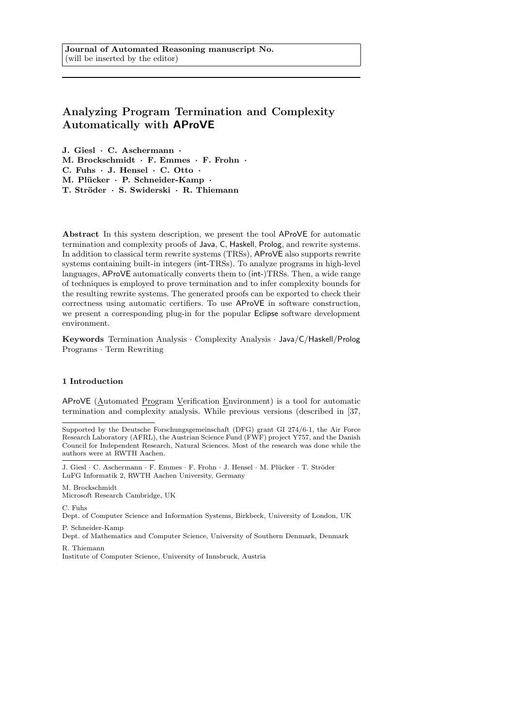Journal of Automated Reasoning manuscript No. (will be inserted by the editor)

# Analyzing Program Termination and Complexity Automatically with AProVE

J. Giesl · C. Aschermann · M. Brockschmidt · F. Emmes · F. Frohn · C. Fuhs · J. Hensel · C. Otto · M. Plücker · P. Schneider-Kamp · T. Ströder · S. Swiderski · R. Thiemann

Abstract In this system description, we present the tool AProVE for automatic termination and complexity proofs of Java, C, Haskell, Prolog, and rewrite systems. In addition to classical term rewrite systems (TRSs), AProVE also supports rewrite systems containing built-in integers (int-TRSs). To analyze programs in high-level languages, AProVE automatically converts them to (int-)TRSs. Then, a wide range of techniques is employed to prove termination and to infer complexity bounds for the resulting rewrite systems. The generated proofs can be exported to check their correctness using automatic certifiers. To use AProVE in software construction, we present a corresponding plug-in for the popular Eclipse software development environment.

Keywords Termination Analysis · Complexity Analysis · Java/C/Haskell/Prolog Programs · Term Rewriting

# 1 Introduction

AProVE (Automated Program Verification Environment) is a tool for automatic termination and complexity analysis. While previous versions (described in [37,

J. Giesl · C. Aschermann · F. Emmes · F. Frohn · J. Hensel · M. Plücker · T. Ströder LuFG Informatik 2, RWTH Aachen University, Germany

M. Brockschmidt

Microsoft Research Cambridge, UK

C. Fuhs

Dept. of Computer Science and Information Systems, Birkbeck, University of London, UK P. Schneider-Kamp

Dept. of Mathematics and Computer Science, University of Southern Denmark, Denmark R. Thiemann

Institute of Computer Science, University of Innsbruck, Austria

Supported by the Deutsche Forschungsgemeinschaft (DFG) grant GI 274/6-1, the Air Force Research Laboratory (AFRL), the Austrian Science Fund (FWF) project Y757, and the Danish Council for Independent Research, Natural Sciences. Most of the research was done while the authors were at RWTH Aachen.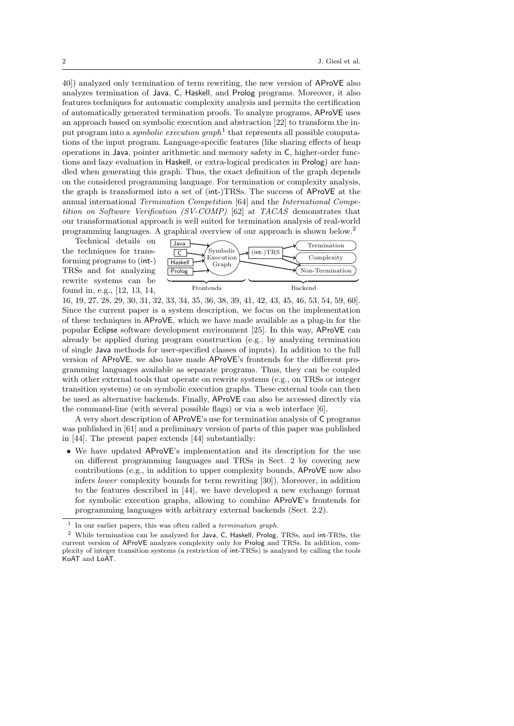40]) analyzed only termination of term rewriting, the new version of AProVE also analyzes termination of Java, C, Haskell, and Prolog programs. Moreover, it also features techniques for automatic complexity analysis and permits the certification of automatically generated termination proofs. To analyze programs, AProVE uses an approach based on symbolic execution and abstraction [22] to transform the input program into a *symbolic execution graph*<sup>1</sup> that represents all possible computations of the input program. Language-specific features (like sharing effects of heap operations in Java, pointer arithmetic and memory safety in C, higher-order functions and lazy evaluation in Haskell, or extra-logical predicates in Prolog) are handled when generating this graph. Thus, the exact definition of the graph depends on the considered programming language. For termination or complexity analysis, the graph is transformed into a set of (int-)TRSs. The success of AProVE at the annual international Termination Competition [64] and the International Competition on Software Verification (SV-COMP) [62] at TACAS demonstrates that our transformational approach is well suited for termination analysis of real-world programming languages. A graphical overview of our approach is shown below.<sup>2</sup>

Technical details on the techniques for transforming programs to (int-) TRSs and for analyzing rewrite systems can be found in, e.g., [12, 13, 14,



16, 19, 27, 28, 29, 30, 31, 32, 33, 34, 35, 36, 38, 39, 41, 42, 43, 45, 46, 53, 54, 59, 60]. Since the current paper is a system description, we focus on the implementation of these techniques in AProVE, which we have made available as a plug-in for the popular Eclipse software development environment [25]. In this way, AProVE can already be applied during program construction (e.g., by analyzing termination of single Java methods for user-specified classes of inputs). In addition to the full version of AProVE, we also have made AProVE's frontends for the different programming languages available as separate programs. Thus, they can be coupled with other external tools that operate on rewrite systems (e.g., on TRSs or integer transition systems) or on symbolic execution graphs. These external tools can then be used as alternative backends. Finally, AProVE can also be accessed directly via the command-line (with several possible flags) or via a web interface [6].

A very short description of AProVE's use for termination analysis of C programs was published in [61] and a preliminary version of parts of this paper was published in [44]. The present paper extends [44] substantially:

• We have updated AProVE's implementation and its description for the use on different programming languages and TRSs in Sect. 2 by covering new contributions (e.g., in addition to upper complexity bounds, AProVE now also infers lower complexity bounds for term rewriting [30]). Moreover, in addition to the features described in [44], we have developed a new exchange format for symbolic execution graphs, allowing to combine AProVE's frontends for programming languages with arbitrary external backends (Sect. 2.2).

<sup>1</sup> In our earlier papers, this was often called a *termination graph*.

<sup>2</sup> While termination can be analyzed for Java, C, Haskell, Prolog, TRSs, and int-TRSs, the current version of AProVE analyzes complexity only for Prolog and TRSs. In addition, complexity of integer transition systems (a restriction of int-TRSs) is analyzed by calling the tools KoAT and LoAT.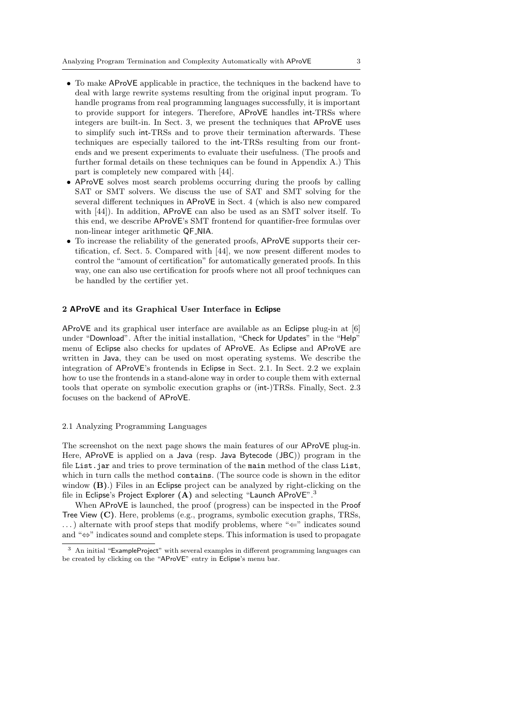- To make AProVE applicable in practice, the techniques in the backend have to deal with large rewrite systems resulting from the original input program. To handle programs from real programming languages successfully, it is important to provide support for integers. Therefore, AProVE handles int-TRSs where integers are built-in. In Sect. 3, we present the techniques that AProVE uses to simplify such int-TRSs and to prove their termination afterwards. These techniques are especially tailored to the int-TRSs resulting from our frontends and we present experiments to evaluate their usefulness. (The proofs and further formal details on these techniques can be found in Appendix A.) This part is completely new compared with [44].
- AProVE solves most search problems occurring during the proofs by calling SAT or SMT solvers. We discuss the use of SAT and SMT solving for the several different techniques in AProVE in Sect. 4 (which is also new compared with [44]). In addition, AProVE can also be used as an SMT solver itself. To this end, we describe AProVE's SMT frontend for quantifier-free formulas over non-linear integer arithmetic QF NIA.
- To increase the reliability of the generated proofs, AProVE supports their certification, cf. Sect. 5. Compared with [44], we now present different modes to control the "amount of certification" for automatically generated proofs. In this way, one can also use certification for proofs where not all proof techniques can be handled by the certifier yet.

### 2 AProVE and its Graphical User Interface in Eclipse

AProVE and its graphical user interface are available as an Eclipse plug-in at [6] under "Download". After the initial installation, "Check for Updates" in the "Help" menu of Eclipse also checks for updates of AProVE. As Eclipse and AProVE are written in Java, they can be used on most operating systems. We describe the integration of AProVE's frontends in Eclipse in Sect. 2.1. In Sect. 2.2 we explain how to use the frontends in a stand-alone way in order to couple them with external tools that operate on symbolic execution graphs or (int-)TRSs. Finally, Sect. 2.3 focuses on the backend of AProVE.

### 2.1 Analyzing Programming Languages

The screenshot on the next page shows the main features of our AProVE plug-in. Here, AProVE is applied on a Java (resp. Java Bytecode (JBC)) program in the file List.jar and tries to prove termination of the main method of the class List, which in turn calls the method contains. (The source code is shown in the editor window (B).) Files in an Eclipse project can be analyzed by right-clicking on the file in Eclipse's Project Explorer  $(A)$  and selecting "Launch AProVE".<sup>3</sup>

When AProVE is launched, the proof (progress) can be inspected in the Proof Tree View (C). Here, problems (e.g., programs, symbolic execution graphs, TRSs, . . . ) alternate with proof steps that modify problems, where "⇐" indicates sound and "⇔" indicates sound and complete steps. This information is used to propagate

 $^3\,$  An initial "ExampleProject" with several examples in different programming languages can be created by clicking on the "AProVE" entry in Eclipse's menu bar.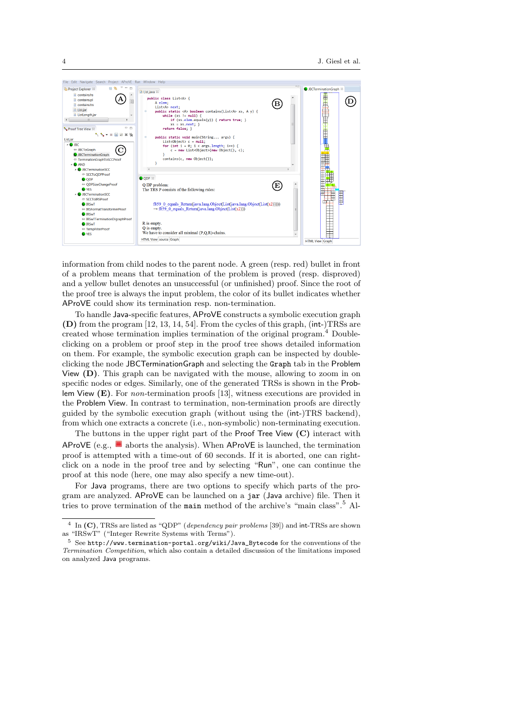

information from child nodes to the parent node. A green (resp. red) bullet in front of a problem means that termination of the problem is proved (resp. disproved) and a yellow bullet denotes an unsuccessful (or unfinished) proof. Since the root of the proof tree is always the input problem, the color of its bullet indicates whether AProVE could show its termination resp. non-termination.

To handle Java-specific features, AProVE constructs a symbolic execution graph (D) from the program [12, 13, 14, 54]. From the cycles of this graph, (int-)TRSs are created whose termination implies termination of the original program.<sup>4</sup> Doubleclicking on a problem or proof step in the proof tree shows detailed information on them. For example, the symbolic execution graph can be inspected by doubleclicking the node JBCTerminationGraph and selecting the Graph tab in the Problem View (D). This graph can be navigated with the mouse, allowing to zoom in on specific nodes or edges. Similarly, one of the generated TRSs is shown in the Problem View (E). For non-termination proofs [13], witness executions are provided in the Problem View. In contrast to termination, non-termination proofs are directly guided by the symbolic execution graph (without using the (int-)TRS backend), from which one extracts a concrete (i.e., non-symbolic) non-terminating execution.

The buttons in the upper right part of the Proof Tree View (C) interact with AProVE (e.g.,  $\Box$  aborts the analysis). When AProVE is launched, the termination proof is attempted with a time-out of 60 seconds. If it is aborted, one can rightclick on a node in the proof tree and by selecting "Run", one can continue the proof at this node (here, one may also specify a new time-out).

For Java programs, there are two options to specify which parts of the program are analyzed. AProVE can be launched on a jar (Java archive) file. Then it tries to prove termination of the main method of the archive's "main class".<sup>5</sup> Al-

<sup>4</sup> In (C), TRSs are listed as "QDP" (dependency pair problems [39]) and int-TRSs are shown as "IRSwT" ("Integer Rewrite Systems with Terms").

 $5$  See http://www.termination-portal.org/wiki/Java\_Bytecode for the conventions of the Termination Competition, which also contain a detailed discussion of the limitations imposed on analyzed Java programs.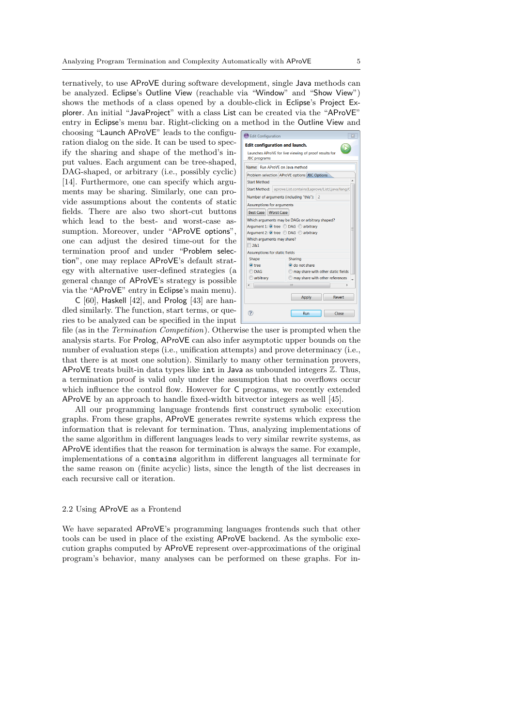ternatively, to use AProVE during software development, single Java methods can be analyzed. Eclipse's Outline View (reachable via "Window" and "Show View") shows the methods of a class opened by a double-click in Eclipse's Project Explorer. An initial "JavaProject" with a class List can be created via the "AProVE" entry in Eclipse's menu bar. Right-clicking on a method in the Outline View and

choosing "Launch AProVE" leads to the configuration dialog on the side. It can be used to specify the sharing and shape of the method's input values. Each argument can be tree-shaped, DAG-shaped, or arbitrary (i.e., possibly cyclic) [14]. Furthermore, one can specify which arguments may be sharing. Similarly, one can provide assumptions about the contents of static fields. There are also two short-cut buttons which lead to the best- and worst-case assumption. Moreover, under "AProVE options", one can adjust the desired time-out for the termination proof and under "Problem selection", one may replace AProVE's default strategy with alternative user-defined strategies (a general change of AProVE's strategy is possible via the "AProVE" entry in Eclipse's main menu).

C [60], Haskell [42], and Prolog [43] are handled similarly. The function, start terms, or queries to be analyzed can be specified in the input

| <b>Edit Configuration</b>                             | х                                              |  |  |  |  |  |  |
|-------------------------------------------------------|------------------------------------------------|--|--|--|--|--|--|
| <b>Edit configuration and launch.</b>                 |                                                |  |  |  |  |  |  |
| Launches AProVE for live viewing of proof results for |                                                |  |  |  |  |  |  |
| <b>JBC</b> programs                                   |                                                |  |  |  |  |  |  |
| Name: Run AProVE on Java method                       |                                                |  |  |  |  |  |  |
| Problem selection AProVE options JBC Options          |                                                |  |  |  |  |  |  |
| <b>Start Method</b>                                   |                                                |  |  |  |  |  |  |
| <b>Start Method:</b>                                  | aprove.List.contains(Laprove/List;Ljava/lang/C |  |  |  |  |  |  |
| Number of arguments (including "this"): 2             |                                                |  |  |  |  |  |  |
| <b>Assumptions for arguments</b>                      |                                                |  |  |  |  |  |  |
| <b>Best Case   Worst Case</b>                         |                                                |  |  |  |  |  |  |
| Which arguments may be DAGs or arbitrary shaped?      |                                                |  |  |  |  |  |  |
| Argument 1: O tree DAG @ arbitrary<br>≔               |                                                |  |  |  |  |  |  |
| Argument 2: O tree DAG @ arbitrary                    |                                                |  |  |  |  |  |  |
| Which arguments may share?                            |                                                |  |  |  |  |  |  |
| 281                                                   |                                                |  |  |  |  |  |  |
| <b>Assumptions for static fields</b>                  |                                                |  |  |  |  |  |  |
| <b>Shape</b>                                          | <b>Sharing</b>                                 |  |  |  |  |  |  |
| (c) tree                                              | o do not share                                 |  |  |  |  |  |  |
| <b>DAG</b>                                            | may share with other static fields             |  |  |  |  |  |  |
| arbitrary<br>may share with other references          |                                                |  |  |  |  |  |  |
| ш                                                     |                                                |  |  |  |  |  |  |
|                                                       | Revert<br>Apply                                |  |  |  |  |  |  |
|                                                       | Run<br>Close                                   |  |  |  |  |  |  |

file (as in the Termination Competition). Otherwise the user is prompted when the analysis starts. For Prolog, AProVE can also infer asymptotic upper bounds on the number of evaluation steps (i.e., unification attempts) and prove determinacy (i.e., that there is at most one solution). Similarly to many other termination provers, AProVE treats built-in data types like  $int$  int in Java as unbounded integers  $\mathbb{Z}$ . Thus, a termination proof is valid only under the assumption that no overflows occur which influence the control flow. However for C programs, we recently extended AProVE by an approach to handle fixed-width bitvector integers as well [45].

All our programming language frontends first construct symbolic execution graphs. From these graphs, AProVE generates rewrite systems which express the information that is relevant for termination. Thus, analyzing implementations of the same algorithm in different languages leads to very similar rewrite systems, as AProVE identifies that the reason for termination is always the same. For example, implementations of a contains algorithm in different languages all terminate for the same reason on (finite acyclic) lists, since the length of the list decreases in each recursive call or iteration.

### 2.2 Using AProVE as a Frontend

We have separated AProVE's programming languages frontends such that other tools can be used in place of the existing AProVE backend. As the symbolic execution graphs computed by AProVE represent over-approximations of the original program's behavior, many analyses can be performed on these graphs. For in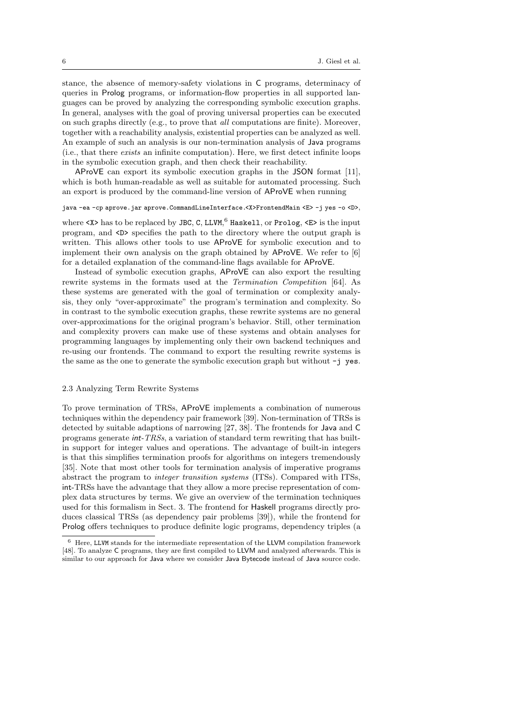stance, the absence of memory-safety violations in C programs, determinacy of queries in Prolog programs, or information-flow properties in all supported languages can be proved by analyzing the corresponding symbolic execution graphs. In general, analyses with the goal of proving universal properties can be executed on such graphs directly (e.g., to prove that all computations are finite). Moreover, together with a reachability analysis, existential properties can be analyzed as well. An example of such an analysis is our non-termination analysis of Java programs (i.e., that there exists an infinite computation). Here, we first detect infinite loops in the symbolic execution graph, and then check their reachability.

AProVE can export its symbolic execution graphs in the JSON format [11], which is both human-readable as well as suitable for automated processing. Such an export is produced by the command-line version of AProVE when running

### java -ea -cp aprove.jar aprove.CommandLineInterface.<X>FrontendMain <E> -j yes -o <D>,

where  $\langle X \rangle$  has to be replaced by JBC, C, LLVM,  $^6$  Haskell, or Prolog,  $\langle E \rangle$  is the input program, and <D> specifies the path to the directory where the output graph is written. This allows other tools to use AProVE for symbolic execution and to implement their own analysis on the graph obtained by AProVE. We refer to [6] for a detailed explanation of the command-line flags available for AProVE.

Instead of symbolic execution graphs, AProVE can also export the resulting rewrite systems in the formats used at the Termination Competition [64]. As these systems are generated with the goal of termination or complexity analysis, they only "over-approximate" the program's termination and complexity. So in contrast to the symbolic execution graphs, these rewrite systems are no general over-approximations for the original program's behavior. Still, other termination and complexity provers can make use of these systems and obtain analyses for programming languages by implementing only their own backend techniques and re-using our frontends. The command to export the resulting rewrite systems is the same as the one to generate the symbolic execution graph but without  $-i$  yes.

### 2.3 Analyzing Term Rewrite Systems

To prove termination of TRSs, AProVE implements a combination of numerous techniques within the dependency pair framework [39]. Non-termination of TRSs is detected by suitable adaptions of narrowing [27, 38]. The frontends for Java and C programs generate int-TRSs, a variation of standard term rewriting that has builtin support for integer values and operations. The advantage of built-in integers is that this simplifies termination proofs for algorithms on integers tremendously [35]. Note that most other tools for termination analysis of imperative programs abstract the program to integer transition systems (ITSs). Compared with ITSs, int-TRSs have the advantage that they allow a more precise representation of complex data structures by terms. We give an overview of the termination techniques used for this formalism in Sect. 3. The frontend for Haskell programs directly produces classical TRSs (as dependency pair problems [39]), while the frontend for Prolog offers techniques to produce definite logic programs, dependency triples (a

 $6$  Here, LLVM stands for the intermediate representation of the LLVM compilation framework [48]. To analyze C programs, they are first compiled to LLVM and analyzed afterwards. This is similar to our approach for Java where we consider Java Bytecode instead of Java source code.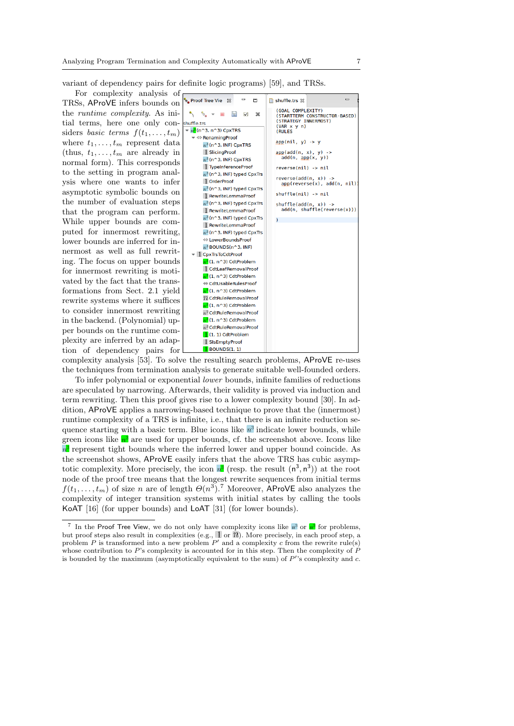variant of dependency pairs for definite logic programs) [59], and TRSs.

For complexity analysis of TRSs, AProVE infers bounds on the runtime complexity. As initial terms, here one only considers basic terms  $f(t_1, \ldots, t_m)$ where  $t_1, \ldots, t_m$  represent data (thus,  $t_1, \ldots, t_m$  are already in normal form). This corresponds to the setting in program analysis where one wants to infer asymptotic symbolic bounds on the number of evaluation steps that the program can perform. While upper bounds are computed for innermost rewriting, lower bounds are inferred for innermost as well as full rewriting. The focus on upper bounds for innermost rewriting is motivated by the fact that the transformations from Sect. 2.1 yield rewrite systems where it suffices to consider innermost rewriting in the backend. (Polynomial) upper bounds on the runtime complexity are inferred by an adaption of dependency pairs for

complexity analysis [53]. To solve the resulting search problems, AProVE re-uses the techniques from termination analysis to generate suitable well-founded orders.

To infer polynomial or exponential lower bounds, infinite families of reductions are speculated by narrowing. Afterwards, their validity is proved via induction and term rewriting. Then this proof gives rise to a lower complexity bound [30]. In addition, AProVE applies a narrowing-based technique to prove that the (innermost) runtime complexity of a TRS is infinite, i.e., that there is an infinite reduction sequence starting with a basic term. Blue icons like  $n^3$  indicate lower bounds, while green icons like  $\mathbf{a}^3$  are used for upper bounds, cf. the screenshot above. Icons like  $n<sup>3</sup>$  represent tight bounds where the inferred lower and upper bound coincide. As the screenshot shows, AProVE easily infers that the above TRS has cubic asymptotic complexity. More precisely, the icon  $n^2$  (resp. the result  $(n^3, n^3)$ ) at the root node of the proof tree means that the longest rewrite sequences from initial terms  $f(t_1,\ldots,t_m)$  of size n are of length  $\Theta(n^3)$ .<sup>7</sup> Moreover, AProVE also analyzes the complexity of integer transition systems with initial states by calling the tools KoAT [16] (for upper bounds) and LoAT [31] (for lower bounds).

<sup>&</sup>lt;sup>7</sup> In the Proof Tree View, we do not only have complexity icons like  $\vec{n}$  or  $\vec{n}$  for problems, but proof steps also result in complexities (e.g.,  $1$  or  $n$ ). More precisely, in each proof step, a problem  $P$  is transformed into a new problem  $P'$  and a complexity c from the rewrite rule(s) whose contribution to P's complexity is accounted for in this step. Then the complexity of  $\tilde{P}$ is bounded by the maximum (asymptotically equivalent to the sum) of  $P'$ 's complexity and c.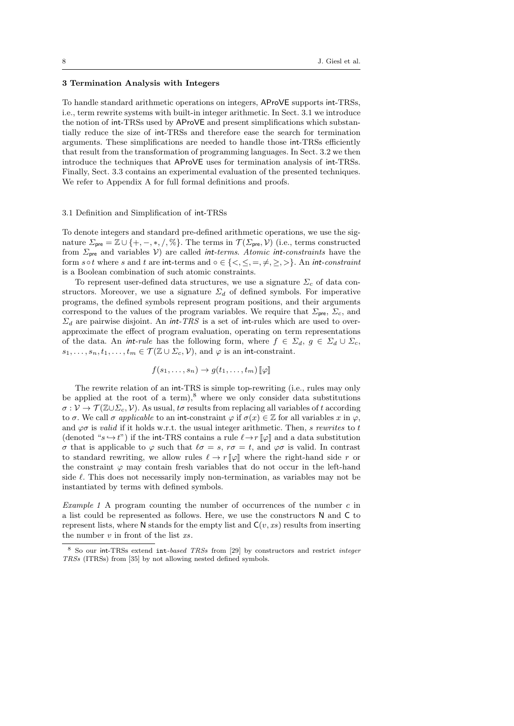### 3 Termination Analysis with Integers

To handle standard arithmetic operations on integers, AProVE supports int-TRSs, i.e., term rewrite systems with built-in integer arithmetic. In Sect. 3.1 we introduce the notion of int-TRSs used by AProVE and present simplifications which substantially reduce the size of int-TRSs and therefore ease the search for termination arguments. These simplifications are needed to handle those int-TRSs efficiently that result from the transformation of programming languages. In Sect. 3.2 we then introduce the techniques that AProVE uses for termination analysis of int-TRSs. Finally, Sect. 3.3 contains an experimental evaluation of the presented techniques. We refer to Appendix A for full formal definitions and proofs.

### 3.1 Definition and Simplification of int-TRSs

To denote integers and standard pre-defined arithmetic operations, we use the signature  $\Sigma_{\text{pre}} = \mathbb{Z} \cup \{+, -, *, /, \% \}.$  The terms in  $\mathcal{T}(\Sigma_{\text{pre}}, \mathcal{V})$  (i.e., terms constructed from  $\Sigma_{\text{pre}}$  and variables V) are called int-terms. Atomic int-constraints have the form s∘t where s and t are int-terms and ∘ ∈ {<, ≤, =, ≠, ≥, >}. An *int-constraint* is a Boolean combination of such atomic constraints.

To represent user-defined data structures, we use a signature  $\Sigma_c$  of data constructors. Moreover, we use a signature  $\Sigma_d$  of defined symbols. For imperative programs, the defined symbols represent program positions, and their arguments correspond to the values of the program variables. We require that  $\Sigma_{pre}$ ,  $\Sigma_c$ , and  $\Sigma_d$  are pairwise disjoint. An *int-TRS* is a set of int-rules which are used to overapproximate the effect of program evaluation, operating on term representations of the data. An *int-rule* has the following form, where  $f \in \Sigma_d$ ,  $g \in \Sigma_d \cup \Sigma_c$ ,  $s_1, \ldots, s_n, t_1, \ldots, t_m \in \mathcal{T}(\mathbb{Z} \cup \Sigma_c, \mathcal{V}),$  and  $\varphi$  is an int-constraint.

$$
f(s_1,\ldots,s_n)\to g(t_1,\ldots,t_m)~[\![\varphi]\!]
$$

The rewrite relation of an int-TRS is simple top-rewriting (i.e., rules may only be applied at the root of a term), $^8$  where we only consider data substitutions  $\sigma: \mathcal{V} \to \mathcal{T}(\mathbb{Z} \cup \Sigma_c, \mathcal{V})$ . As usual, to results from replacing all variables of t according to  $\sigma$ . We call  $\sigma$  applicable to an int-constraint  $\varphi$  if  $\sigma(x) \in \mathbb{Z}$  for all variables x in  $\varphi$ , and  $\varphi\sigma$  is valid if it holds w.r.t. the usual integer arithmetic. Then, s rewrites to t (denoted " $s \leftrightarrow t$ ") if the int-TRS contains a rule  $\ell \rightarrow r \llbracket \varphi \rrbracket$  and a data substitution σ that is applicable to  $\varphi$  such that  $\ell \sigma = s$ ,  $r \sigma = t$ , and  $\varphi \sigma$  is valid. In contrast to standard rewriting, we allow rules  $\ell \to r \llbracket \varphi \rrbracket$  where the right-hand side r or the constraint  $\varphi$  may contain fresh variables that do not occur in the left-hand side  $\ell$ . This does not necessarily imply non-termination, as variables may not be instantiated by terms with defined symbols.

Example 1 A program counting the number of occurrences of the number  $c$  in a list could be represented as follows. Here, we use the constructors N and C to represent lists, where N stands for the empty list and  $C(v, xs)$  results from inserting the number  $v$  in front of the list  $xs$ .

<sup>8</sup> So our int-TRSs extend int-based TRSs from [29] by constructors and restrict integer TRSs (ITRSs) from [35] by not allowing nested defined symbols.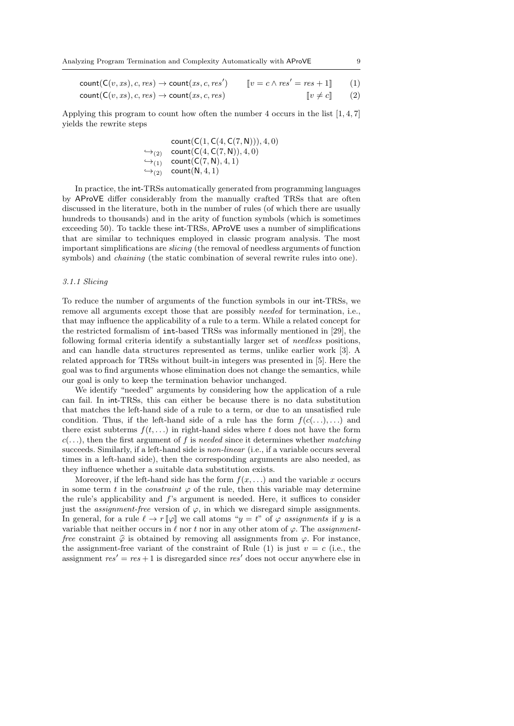$count(C(v, xs), c, res) \rightarrow count(xs, c, res)$   $[v \neq c]$  (2)

Applying this program to count how often the number 4 occurs in the list [1, 4, 7] yields the rewrite steps

> $count(C(1, C(4, C(7, N))), 4, 0)$  $\hookrightarrow_{(2)}$  count(C(4, C(7, N)), 4, 0)  $\hookrightarrow_{(1)}$  count(C(7, N), 4, 1)  $\hookrightarrow_{(2)}$  count $(N, 4, 1)$

In practice, the int-TRSs automatically generated from programming languages by AProVE differ considerably from the manually crafted TRSs that are often discussed in the literature, both in the number of rules (of which there are usually hundreds to thousands) and in the arity of function symbols (which is sometimes exceeding 50). To tackle these int-TRSs, AProVE uses a number of simplifications that are similar to techniques employed in classic program analysis. The most important simplifications are slicing (the removal of needless arguments of function symbols) and *chaining* (the static combination of several rewrite rules into one).

# 3.1.1 Slicing

To reduce the number of arguments of the function symbols in our int-TRSs, we remove all arguments except those that are possibly *needed* for termination, i.e., that may influence the applicability of a rule to a term. While a related concept for the restricted formalism of int-based TRSs was informally mentioned in [29], the following formal criteria identify a substantially larger set of needless positions, and can handle data structures represented as terms, unlike earlier work [3]. A related approach for TRSs without built-in integers was presented in [5]. Here the goal was to find arguments whose elimination does not change the semantics, while our goal is only to keep the termination behavior unchanged.

We identify "needed" arguments by considering how the application of a rule can fail. In int-TRSs, this can either be because there is no data substitution that matches the left-hand side of a rule to a term, or due to an unsatisfied rule condition. Thus, if the left-hand side of a rule has the form  $f(c(\ldots), \ldots)$  and there exist subterms  $f(t, \ldots)$  in right-hand sides where t does not have the form  $c(\ldots)$ , then the first argument of f is needed since it determines whether matching succeeds. Similarly, if a left-hand side is *non-linear* (i.e., if a variable occurs several times in a left-hand side), then the corresponding arguments are also needed, as they influence whether a suitable data substitution exists.

Moreover, if the left-hand side has the form  $f(x, \ldots)$  and the variable x occurs in some term t in the *constraint*  $\varphi$  of the rule, then this variable may determine the rule's applicability and f's argument is needed. Here, it suffices to consider just the *assignment-free* version of  $\varphi$ , in which we disregard simple assignments. In general, for a rule  $\ell \to r \llbracket \varphi \rrbracket$  we call atoms " $y = t$ " of  $\varphi$  assignments if y is a variable that neither occurs in  $\ell$  nor t nor in any other atom of  $\varphi$ . The assignmentfree constraint  $\hat{\varphi}$  is obtained by removing all assignments from  $\varphi$ . For instance, the assignment-free variant of the constraint of Rule (1) is just  $v = c$  (i.e., the assignment  $res' = res + 1$  is disregarded since res' does not occur anywhere else in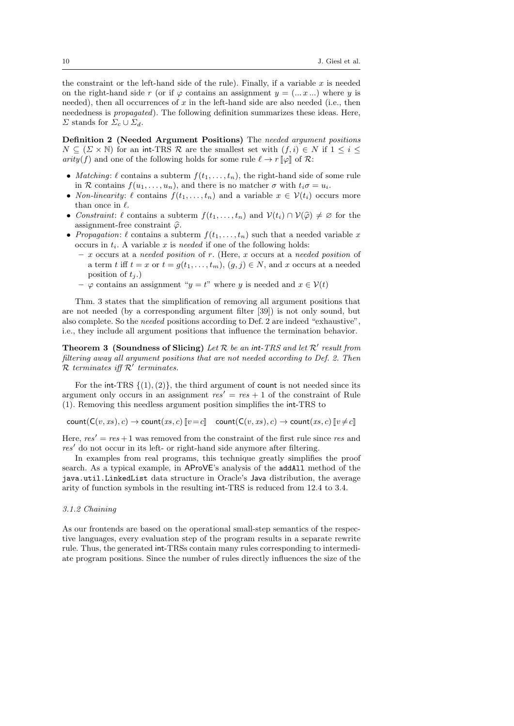the constraint or the left-hand side of the rule). Finally, if a variable  $x$  is needed on the right-hand side r (or if  $\varphi$  contains an assignment  $y = (... x ...)$  where y is needed), then all occurrences of  $x$  in the left-hand side are also needed (i.e., then neededness is propagated). The following definition summarizes these ideas. Here,  $\Sigma$  stands for  $\Sigma_c \cup \Sigma_d$ .

Definition 2 (Needed Argument Positions) The needed argument positions  $N \subset (\Sigma \times \mathbb{N})$  for an int-TRS R are the smallest set with  $(f, i) \in N$  if  $1 \le i \le j$  $arity(f)$  and one of the following holds for some rule  $\ell \to r \llbracket \varphi \rrbracket$  of R:

- Matching:  $\ell$  contains a subterm  $f(t_1, \ldots, t_n)$ , the right-hand side of some rule in R contains  $f(u_1, \ldots, u_n)$ , and there is no matcher  $\sigma$  with  $t_i \sigma = u_i$ .
- Non-linearity:  $\ell$  contains  $f(t_1, \ldots, t_n)$  and a variable  $x \in V(t_i)$  occurs more than once in  $\ell$ .
- Constraint:  $\ell$  contains a subterm  $f(t_1, \ldots, t_n)$  and  $\mathcal{V}(t_i) \cap \mathcal{V}(\hat{\varphi}) \neq \varnothing$  for the assignment-free constraint  $\widehat{\varphi}$ .
- Propagation:  $\ell$  contains a subterm  $f(t_1, \ldots, t_n)$  such that a needed variable x occurs in  $t_i$ . A variable x is needed if one of the following holds:
	- $x$  occurs at a needed position of r. (Here, x occurs at a needed position of a term t iff  $t = x$  or  $t = g(t_1, \ldots, t_m)$ ,  $(g, j) \in N$ , and x occurs at a needed position of  $t_i$ .)
	- $-\varphi$  contains an assignment " $y = t$ " where y is needed and  $x \in V(t)$

Thm. 3 states that the simplification of removing all argument positions that are not needed (by a corresponding argument filter [39]) is not only sound, but also complete. So the needed positions according to Def. 2 are indeed "exhaustive", i.e., they include all argument positions that influence the termination behavior.

Theorem 3 (Soundness of Slicing) Let  $R$  be an int-TRS and let  $R'$  result from filtering away all argument positions that are not needed according to Def. 2. Then  $\mathcal R$  terminates iff  $\mathcal R'$  terminates.

For the int-TRS  $\{(1), (2)\}$ , the third argument of count is not needed since its argument only occurs in an assignment  $res' = res + 1$  of the constraint of Rule (1). Removing this needless argument position simplifies the int-TRS to

 $count(C(v, xs), c) \rightarrow count(xs, c)$   $[v=c]$  count $(C(v, xs), c) \rightarrow count(xs, c)$   $[v \neq c]$ 

Here,  $res' = res + 1$  was removed from the constraint of the first rule since res and  $res'$  do not occur in its left- or right-hand side anymore after filtering.

In examples from real programs, this technique greatly simplifies the proof search. As a typical example, in AProVE's analysis of the addAll method of the java.util.LinkedList data structure in Oracle's Java distribution, the average arity of function symbols in the resulting int-TRS is reduced from 12.4 to 3.4.

### 3.1.2 Chaining

As our frontends are based on the operational small-step semantics of the respective languages, every evaluation step of the program results in a separate rewrite rule. Thus, the generated int-TRSs contain many rules corresponding to intermediate program positions. Since the number of rules directly influences the size of the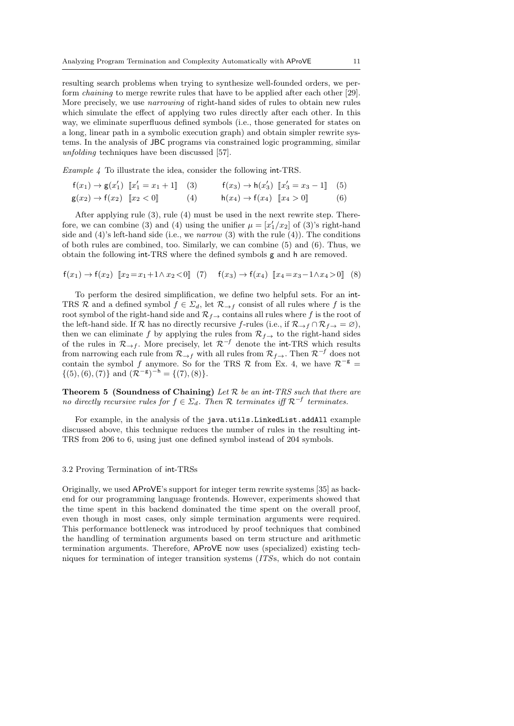resulting search problems when trying to synthesize well-founded orders, we perform chaining to merge rewrite rules that have to be applied after each other [29]. More precisely, we use narrowing of right-hand sides of rules to obtain new rules which simulate the effect of applying two rules directly after each other. In this way, we eliminate superfluous defined symbols (i.e., those generated for states on a long, linear path in a symbolic execution graph) and obtain simpler rewrite systems. In the analysis of JBC programs via constrained logic programming, similar unfolding techniques have been discussed [57].

Example 4 To illustrate the idea, consider the following int-TRS.

$$
f(x_1) \to g(x'_1)
$$
  $[x'_1 = x_1 + 1]$  (3)  $f(x_3) \to h(x'_3)$   $[x'_3 = x_3 - 1]$  (5)

$$
g(x_2) \to f(x_2) \quad [x_2 < 0] \tag{4} \qquad h(x_4) \to f(x_4) \quad [x_4 > 0] \tag{6}
$$

After applying rule (3), rule (4) must be used in the next rewrite step. Therefore, we can combine (3) and (4) using the unifier  $\mu = [x'_1/x_2]$  of (3)'s right-hand side and  $(4)$ 's left-hand side (i.e., we narrow  $(3)$  with the rule  $(4)$ ). The conditions of both rules are combined, too. Similarly, we can combine (5) and (6). Thus, we obtain the following int-TRS where the defined symbols g and h are removed.

$$
f(x_1) \to f(x_2)
$$
  $[x_2 = x_1 + 1 \land x_2 < 0]$  (7)  $f(x_3) \to f(x_4)$   $[x_4 = x_3 - 1 \land x_4 > 0]$  (8)

To perform the desired simplification, we define two helpful sets. For an int-TRS R and a defined symbol  $f \in \Sigma_d$ , let  $\mathcal{R}_{\to f}$  consist of all rules where f is the root symbol of the right-hand side and  $\mathcal{R}_{f\rightarrow}$  contains all rules where f is the root of the left-hand side. If R has no directly recursive f-rules (i.e., if  $\mathcal{R}_{\to f} \cap \mathcal{R}_{f \to f} = \emptyset$ ), then we can eliminate f by applying the rules from  $\mathcal{R}_{f\rightarrow}$  to the right-hand sides of the rules in  $\mathcal{R}_{\rightarrow f}$ . More precisely, let  $\mathcal{R}^{-f}$  denote the int-TRS which results from narrowing each rule from  $\mathcal{R}_{\to f}$  with all rules from  $\mathcal{R}_{f \to \cdot}$  Then  $\mathcal{R}^{-f}$  does not contain the symbol f anymore. So for the TRS R from Ex. 4, we have  $\mathcal{R}^{-g}$  =  $\{(5), (6), (7)\}\$  and  $(\mathcal{R}^{-g})^{-h} = \{(7), (8)\}.$ 

**Theorem 5 (Soundness of Chaining)** Let  $R$  be an int-TRS such that there are no directly recursive rules for  $f \in \Sigma_d$ . Then R terminates iff  $\mathcal{R}^{-f}$  terminates.

For example, in the analysis of the java.utils.LinkedList.addAll example discussed above, this technique reduces the number of rules in the resulting int-TRS from 206 to 6, using just one defined symbol instead of 204 symbols.

### 3.2 Proving Termination of int-TRSs

Originally, we used AProVE's support for integer term rewrite systems [35] as backend for our programming language frontends. However, experiments showed that the time spent in this backend dominated the time spent on the overall proof, even though in most cases, only simple termination arguments were required. This performance bottleneck was introduced by proof techniques that combined the handling of termination arguments based on term structure and arithmetic termination arguments. Therefore, AProVE now uses (specialized) existing techniques for termination of integer transition systems (ITSs, which do not contain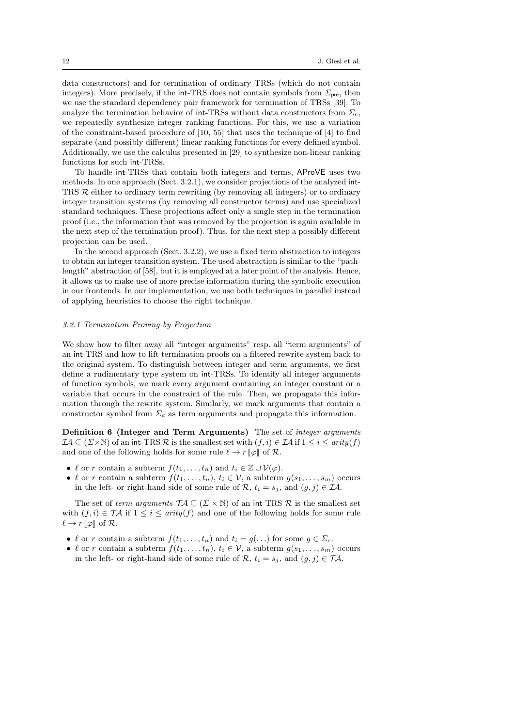data constructors) and for termination of ordinary TRSs (which do not contain integers). More precisely, if the int-TRS does not contain symbols from  $\Sigma_{\text{pre}}$ , then we use the standard dependency pair framework for termination of TRSs [39]. To analyze the termination behavior of int-TRSs without data constructors from  $\Sigma_c$ , we repeatedly synthesize integer ranking functions. For this, we use a variation of the constraint-based procedure of [10, 55] that uses the technique of [4] to find separate (and possibly different) linear ranking functions for every defined symbol. Additionally, we use the calculus presented in [29] to synthesize non-linear ranking functions for such int-TRSs.

To handle int-TRSs that contain both integers and terms, AProVE uses two methods. In one approach (Sect. 3.2.1), we consider projections of the analyzed int-TRS  $R$  either to ordinary term rewriting (by removing all integers) or to ordinary integer transition systems (by removing all constructor terms) and use specialized standard techniques. These projections affect only a single step in the termination proof (i.e., the information that was removed by the projection is again available in the next step of the termination proof). Thus, for the next step a possibly different projection can be used.

In the second approach (Sect. 3.2.2), we use a fixed term abstraction to integers to obtain an integer transition system. The used abstraction is similar to the "pathlength" abstraction of [58], but it is employed at a later point of the analysis. Hence, it allows us to make use of more precise information during the symbolic execution in our frontends. In our implementation, we use both techniques in parallel instead of applying heuristics to choose the right technique.

# 3.2.1 Termination Proving by Projection

We show how to filter away all "integer arguments" resp. all "term arguments" of an int-TRS and how to lift termination proofs on a filtered rewrite system back to the original system. To distinguish between integer and term arguments, we first define a rudimentary type system on int-TRSs. To identify all integer arguments of function symbols, we mark every argument containing an integer constant or a variable that occurs in the constraint of the rule. Then, we propagate this information through the rewrite system. Similarly, we mark arguments that contain a constructor symbol from  $\Sigma_c$  as term arguments and propagate this information.

Definition 6 (Integer and Term Arguments) The set of integer arguments  $\mathcal{I}A \subseteq (\Sigma \times \mathbb{N})$  of an int-TRS R is the smallest set with  $(f, i) \in \mathcal{I}A$  if  $1 \leq i \leq arity(f)$ and one of the following holds for some rule  $\ell \to r \llbracket \varphi \rrbracket$  of  $\mathcal{R}$ .

- $\ell$  or r contain a subterm  $f(t_1, \ldots, t_n)$  and  $t_i \in \mathbb{Z} \cup \mathcal{V}(\varphi)$ .
- $\ell$  or r contain a subterm  $f(t_1, \ldots, t_n), t_i \in \mathcal{V}$ , a subterm  $g(s_1, \ldots, s_m)$  occurs in the left- or right-hand side of some rule of  $\mathcal{R}$ ,  $t_i = s_j$ , and  $(g, j) \in \mathcal{I}A$ .

The set of term arguments  $\mathcal{TA} \subseteq (\Sigma \times \mathbb{N})$  of an int-TRS  $\mathcal{R}$  is the smallest set with  $(f, i) \in \mathcal{T} \mathcal{A}$  if  $1 \leq i \leq \text{arity}(f)$  and one of the following holds for some rule  $\ell \to r \llbracket \varphi \rrbracket$  of  $\mathcal{R}$ .

- $\ell$  or r contain a subterm  $f(t_1, \ldots, t_n)$  and  $t_i = g(\ldots)$  for some  $g \in \Sigma_c$ .
- $\ell$  or r contain a subterm  $f(t_1, \ldots, t_n)$ ,  $t_i \in \mathcal{V}$ , a subterm  $g(s_1, \ldots, s_m)$  occurs in the left- or right-hand side of some rule of  $\mathcal{R}$ ,  $t_i = s_j$ , and  $(g, j) \in \mathcal{TA}$ .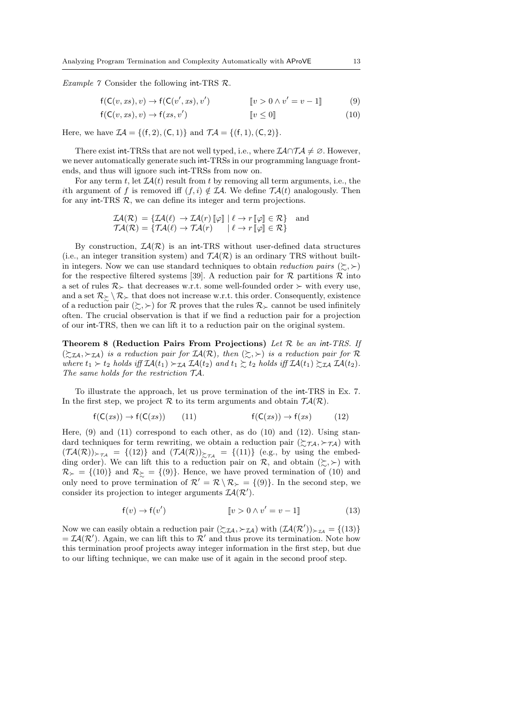Example 7 Consider the following int-TRS  $\mathcal{R}$ .

$$
f(C(v, xs), v) \to f(C(v', xs), v')
$$
  $[v > 0 \land v' = v - 1]$  (9)

$$
f(C(v, xs), v) \to f(xs, v') \qquad [v \le 0]
$$
\n
$$
(10)
$$

Here, we have  $\mathcal{I}A = \{(f, 2), (C, 1)\}\$  and  $\mathcal{T}A = \{(f, 1), (C, 2)\}.$ 

There exist int-TRSs that are not well typed, i.e., where  $\mathcal{I}A \cap \mathcal{T}A \neq \emptyset$ . However, we never automatically generate such int-TRSs in our programming language frontends, and thus will ignore such int-TRSs from now on.

For any term t, let  $IA(t)$  result from t by removing all term arguments, i.e., the ith argument of f is removed iff  $(f, i) \notin \mathcal{I}A$ . We define  $\mathcal{I}A(t)$  analogously. Then for any int-TRS  $\mathcal{R}$ , we can define its integer and term projections.

$$
\mathcal{IA}(\mathcal{R}) = \{ \mathcal{IA}(\ell) \to \mathcal{IA}(r) \, [\![\varphi]\!] \mid \ell \to r \, [\![\varphi]\!] \in \mathcal{R} \} \quad \text{and}
$$
\n
$$
\mathcal{TA}(\mathcal{R}) = \{ \mathcal{TA}(\ell) \to \mathcal{TA}(r) \qquad \mid \ell \to r \, [\![\varphi]\!] \in \mathcal{R} \}
$$

By construction,  $\mathcal{I}(\mathcal{A}(\mathcal{R}))$  is an int-TRS without user-defined data structures (i.e., an integer transition system) and  $\mathcal{TA}(\mathcal{R})$  is an ordinary TRS without builtin integers. Now we can use standard techniques to obtain *reduction pairs*  $(\succsim, \succ)$ for the respective filtered systems [39]. A reduction pair for  $\mathcal R$  partitions  $\mathcal R$  into a set of rules  $\mathcal{R}_{\succ}$  that decreases w.r.t. some well-founded order  $\succ$  with every use, and a set  $\mathcal{R}_{\succeq} \setminus \mathcal{R}_{\succ}$  that does not increase w.r.t. this order. Consequently, existence of a reduction pair  $(\succsim, \succ)$  for R proves that the rules  $\mathcal{R}_{\succ}$  cannot be used infinitely often. The crucial observation is that if we find a reduction pair for a projection of our int-TRS, then we can lift it to a reduction pair on the original system.

Theorem 8 (Reduction Pairs From Projections) Let  $R$  be an int-TRS. If  $(\Sigma_{\mathcal{I}A}, \Sigma_{\mathcal{I}A})$  is a reduction pair for  $\mathcal{I}A(\mathcal{R})$ , then  $(\Sigma, \Sigma)$  is a reduction pair for R where  $t_1 \succ t_2$  holds iff  $IA(t_1) \succ_{\mathcal{I}A} IA(t_2)$  and  $t_1 \succsim t_2$  holds iff  $IA(t_1) \succsim_{\mathcal{I}A} IA(t_2)$ . The same holds for the restriction TA.

To illustrate the approach, let us prove termination of the int-TRS in Ex. 7. In the first step, we project R to its term arguments and obtain  $\mathcal{TA}(\mathcal{R})$ .

$$
f(C(xs)) \to f(C(xs)) \qquad (11) \qquad f(C(xs)) \to f(xs) \qquad (12)
$$

Here,  $(9)$  and  $(11)$  correspond to each other, as do  $(10)$  and  $(12)$ . Using standard techniques for term rewriting, we obtain a reduction pair  $(\succsim_{\mathcal{TA}}, \succ_{\mathcal{TA}})$  with  $(\mathcal{T}\mathcal{A}(\mathcal{R}))_{\succ_{\mathcal{T}\mathcal{A}}}$  = {(12)} and  $(\mathcal{T}\mathcal{A}(\mathcal{R}))_{\succsim_{\mathcal{T}\mathcal{A}}}$  = {(11)} (e.g., by using the embedding order). We can lift this to a reduction pair on  $\mathcal{R}$ , and obtain  $(\succsim, \succ)$  with  $\mathcal{R}_{\succ} = \{(10)\}\$  and  $\mathcal{R}_{\succ} = \{(9)\}\$ . Hence, we have proved termination of (10) and only need to prove termination of  $\mathcal{R}' = \mathcal{R} \setminus \mathcal{R}_{\succ} = \{(9)\}\.$  In the second step, we consider its projection to integer arguments  $IA(R')$ .

$$
f(v) \rightarrow f(v') \qquad \qquad [v > 0 \land v' = v - 1] \tag{13}
$$

Now we can easily obtain a reduction pair  $(\Sigma_{\mathcal{IA}}, \Sigma_{\mathcal{IA}})$  with  $(\mathcal{IA}(\mathcal{R}'))_{\Sigma_{\mathcal{IA}}} = \{(13)\}\$  $= \mathcal{I}A(\mathcal{R}')$ . Again, we can lift this to  $\mathcal{R}'$  and thus prove its termination. Note how this termination proof projects away integer information in the first step, but due to our lifting technique, we can make use of it again in the second proof step.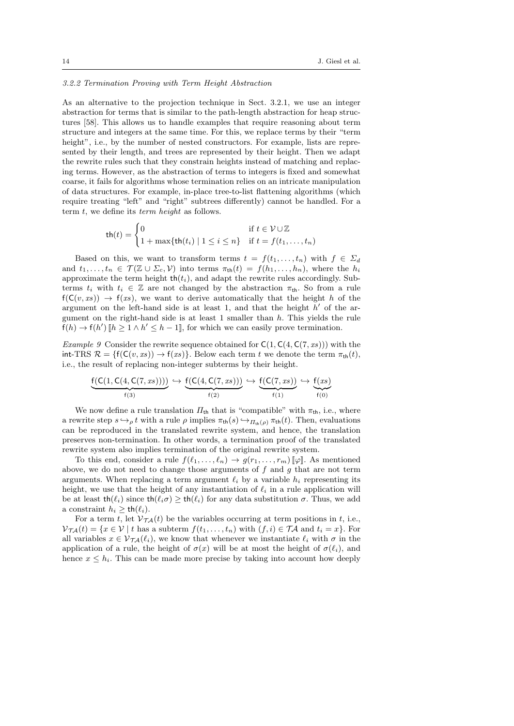# 3.2.2 Termination Proving with Term Height Abstraction

As an alternative to the projection technique in Sect. 3.2.1, we use an integer abstraction for terms that is similar to the path-length abstraction for heap structures [58]. This allows us to handle examples that require reasoning about term structure and integers at the same time. For this, we replace terms by their "term height", i.e., by the number of nested constructors. For example, lists are represented by their length, and trees are represented by their height. Then we adapt the rewrite rules such that they constrain heights instead of matching and replacing terms. However, as the abstraction of terms to integers is fixed and somewhat coarse, it fails for algorithms whose termination relies on an intricate manipulation of data structures. For example, in-place tree-to-list flattening algorithms (which require treating "left" and "right" subtrees differently) cannot be handled. For a term  $t$ , we define its  $term height$  as follows.

$$
\mathsf{th}(t) = \begin{cases} 0 & \text{if } t \in \mathcal{V} \cup \mathbb{Z} \\ 1 + \max\{\mathsf{th}(t_i) \mid 1 \le i \le n\} & \text{if } t = f(t_1, \dots, t_n) \end{cases}
$$

Based on this, we want to transform terms  $t = f(t_1, \ldots, t_n)$  with  $f \in \Sigma_d$ and  $t_1, \ldots, t_n \in \mathcal{T}(\mathbb{Z} \cup \Sigma_c, \mathcal{V})$  into terms  $\pi_{\text{th}}(t) = f(h_1, \ldots, h_n)$ , where the  $h_i$ approximate the term height  $\text{th}(t_i)$ , and adapt the rewrite rules accordingly. Subterms  $t_i$  with  $t_i \in \mathbb{Z}$  are not changed by the abstraction  $\pi_{\text{th}}$ . So from a rule  $f(C(v, xs)) \rightarrow f(xs)$ , we want to derive automatically that the height h of the argument on the left-hand side is at least 1, and that the height  $h'$  of the argument on the right-hand side is at least  $1$  smaller than  $h$ . This yields the rule  $f(h) \to f(h') \llbracket h \geq 1 \land h' \leq h - 1 \rrbracket$ , for which we can easily prove termination.

*Example 9* Consider the rewrite sequence obtained for  $C(1, C(4, C(7, xs)))$  with the  $\text{int-TRS }\mathcal{R} = \{f(C(v, xs)) \to f(xs)\}.$  Below each term t we denote the term  $\pi_{\text{th}}(t),$ i.e., the result of replacing non-integer subterms by their height.

$$
\underbrace{f(C(1, C(4, C(7, xs))))}_{f(3)} \hookrightarrow \underbrace{f(C(4, C(7, xs)))}_{f(2)} \hookrightarrow \underbrace{f(C(7, xs))}_{f(1)} \hookrightarrow \underbrace{f(xs)}_{f(0)}
$$

We now define a rule translation  $\Pi_{\text{th}}$  that is "compatible" with  $\pi_{\text{th}}$ , i.e., where a rewrite step  $s \hookrightarrow_{\rho} t$  with a rule  $\rho$  implies  $\pi_{\text{th}}(s) \hookrightarrow_{\Pi_{\text{th}}(\rho)} \pi_{\text{th}}(t)$ . Then, evaluations can be reproduced in the translated rewrite system, and hence, the translation preserves non-termination. In other words, a termination proof of the translated rewrite system also implies termination of the original rewrite system.

To this end, consider a rule  $f(\ell_1, \ldots, \ell_n) \to g(r_1, \ldots, r_m)$   $[\varphi]$ . As mentioned above, we do not need to change those arguments of  $f$  and  $g$  that are not term arguments. When replacing a term argument  $\ell_i$  by a variable  $h_i$  representing its height, we use that the height of any instantiation of  $\ell_i$  in a rule application will be at least  $\text{th}(\ell_i)$  since  $\text{th}(\ell_i\sigma) \geq \text{th}(\ell_i)$  for any data substitution  $\sigma$ . Thus, we add a constraint  $h_i \geq \text{th}(\ell_i)$ .

For a term t, let  $V_{\mathcal{TA}}(t)$  be the variables occurring at term positions in t, i.e.,  $\mathcal{V}_{\mathcal{TA}}(t) = \{x \in \mathcal{V} \mid t \text{ has a subterm } f(t_1, \ldots, t_n) \text{ with } (f, i) \in \mathcal{TA} \text{ and } t_i = x\}.$  For all variables  $x \in \mathcal{V}_{\mathcal{TA}}(\ell_i)$ , we know that whenever we instantiate  $\ell_i$  with  $\sigma$  in the application of a rule, the height of  $\sigma(x)$  will be at most the height of  $\sigma(\ell_i)$ , and hence  $x \leq h_i$ . This can be made more precise by taking into account how deeply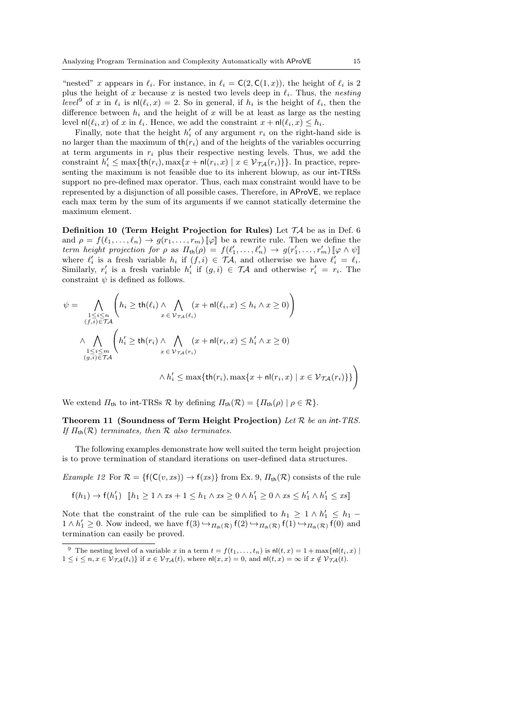"nested" x appears in  $\ell_i$ . For instance, in  $\ell_i = C(2, C(1, x))$ , the height of  $\ell_i$  is 2 plus the height of x because x is nested two levels deep in  $\ell_i$ . Thus, the nesting level<sup>9</sup> of x in  $\ell_i$  is  $\mathsf{n}(\ell_i, x) = 2$ . So in general, if  $h_i$  is the height of  $\ell_i$ , then the difference between  $h_i$  and the height of x will be at least as large as the nesting level  $\mathsf{nl}(\ell_i, x)$  of x in  $\ell_i$ . Hence, we add the constraint  $x + \mathsf{nl}(\ell_i, x) \leq h_i$ .

Finally, note that the height  $h'_i$  of any argument  $r_i$  on the right-hand side is no larger than the maximum of  $\text{th}(r_i)$  and of the heights of the variables occurring at term arguments in  $r_i$  plus their respective nesting levels. Thus, we add the constraint  $h'_i \leq \max\{\text{th}(r_i), \max\{x + \text{nl}(r_i, x) \mid x \in \mathcal{V}_{\mathcal{TA}}(r_i)\}\}\.$  In practice, representing the maximum is not feasible due to its inherent blowup, as our int-TRSs support no pre-defined max operator. Thus, each max constraint would have to be represented by a disjunction of all possible cases. Therefore, in AProVE, we replace each max term by the sum of its arguments if we cannot statically determine the maximum element.

Definition 10 (Term Height Projection for Rules) Let  $TA$  be as in Def. 6 and  $\rho = f(\ell_1, \ldots, \ell_n) \to g(r_1, \ldots, r_m)$  [ $\varphi$ ] be a rewrite rule. Then we define the term height projection for  $\rho$  as  $\Pi_{\text{th}}(\rho) = f(\ell'_1, \ldots, \ell'_n) \to g(r'_1, \ldots, r'_m)$   $[\![\varphi \wedge \psi]\!]$ where  $\ell'_i$  is a fresh variable  $h_i$  if  $(f, i) \in \mathcal{TA}$ , and otherwise we have  $\ell'_i = \ell_i$ . Similarly,  $r'_i$  is a fresh variable  $h'_i$  if  $(g, i) \in \mathcal{TA}$  and otherwise  $r'_i = r_i$ . The constraint  $\psi$  is defined as follows.

$$
\psi = \bigwedge_{\substack{1 \le i \le n \\ (f,i) \in \mathcal{T} \mathcal{A}}} \left( h_i \ge \text{th}(\ell_i) \land \bigwedge_{x \in \mathcal{V}_{\mathcal{T}\mathcal{A}}(\ell_i)} (x + \text{nl}(\ell_i, x) \le h_i \land x \ge 0) \right)
$$
  

$$
\land \bigwedge_{\substack{1 \le i \le m \\ (g,i) \in \mathcal{T}\mathcal{A}}} \left( h'_i \ge \text{th}(r_i) \land \bigwedge_{x \in \mathcal{V}_{\mathcal{T}\mathcal{A}}(r_i)} (x + \text{nl}(r_i, x) \le h'_i \land x \ge 0) \right)
$$
  

$$
\land h'_i \le \max \{ \text{th}(r_i), \max \{ x + \text{nl}(r_i, x) \mid x \in \mathcal{V}_{\mathcal{T}\mathcal{A}}(r_i) \} \} \right)
$$

We extend  $\Pi_{\text{th}}$  to int-TRSs  $\mathcal R$  by defining  $\Pi_{\text{th}}(\mathcal R) = \{\Pi_{\text{th}}(\rho) \mid \rho \in \mathcal R\}.$ 

Theorem 11 (Soundness of Term Height Projection) Let  $R$  be an int-TRS. If  $\Pi_{\text{th}}(\mathcal{R})$  terminates, then  $\mathcal R$  also terminates.

The following examples demonstrate how well suited the term height projection is to prove termination of standard iterations on user-defined data structures.

Example 12 For  $\mathcal{R} = \{f(C(v, xs)) \to f(xs)\}\$  from Ex. 9,  $\Pi_{th}(\mathcal{R})$  consists of the rule

$$
f(h_1) \to f(h'_1) \quad [h_1 \ge 1 \land xs + 1 \le h_1 \land xs \ge 0 \land h'_1 \ge 0 \land xs \le h'_1 \land h'_1 \le xs]
$$

Note that the constraint of the rule can be simplified to  $h_1 \geq 1 \wedge h'_1 \leq h_1 1 \wedge h'_1 \geq 0$ . Now indeed, we have  $f(3) \hookrightarrow_{\Pi_{\text{th}}(\mathcal{R})} f(2) \hookrightarrow_{\Pi_{\text{th}}(\mathcal{R})} f(1) \hookrightarrow_{\Pi_{\text{th}}(\mathcal{R})} f(0)$  and termination can easily be proved.

<sup>&</sup>lt;sup>9</sup> The nesting level of a variable x in a term  $t = f(t_1, \ldots, t_n)$  is  $\mathsf{n} \mathsf{l}(t, x) = 1 + \max\{\mathsf{n} \mathsf{l}(t_i, x) \mid$  $1 \leq i \leq n, x \in \mathcal{V}_{\mathcal{TA}}(t_i)$  if  $x \in \mathcal{V}_{\mathcal{TA}}(t)$ , where  $\mathsf{n} \mathsf{l}(x,x) = 0$ , and  $\mathsf{n} \mathsf{l}(t,x) = \infty$  if  $x \notin \mathcal{V}_{\mathcal{TA}}(t)$ .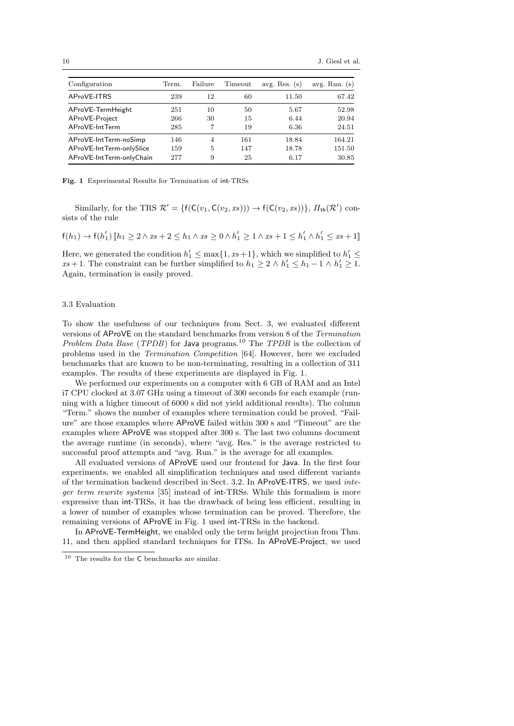| Configuration            | Term. | Failure | Timeout | avg. Res. $(s)$ | avg. Run. $(s)$ |
|--------------------------|-------|---------|---------|-----------------|-----------------|
| AProVE-ITRS              | 239   | 12      | 60      | 11.50           | 67.42           |
| AProVE-TermHeight        | 251   | 10      | 50      | 5.67            | 52.98           |
| AProVE-Project           | 266   | 30      | 15      | 6.44            | 20.94           |
| AProVE-IntTerm           | 285   | 7       | 19      | 6.36            | 24.51           |
| AProVE-IntTerm-noSimp    | 146   | 4       | 161     | 18.84           | 164.21          |
| AProVE-IntTerm-onlySlice | 159   | 5       | 147     | 18.78           | 151.50          |
| AProVE-IntTerm-onlyChain | 277   | 9       | 25      | 6.17            | 30.85           |

Fig. 1 Experimental Results for Termination of int-TRSs

Similarly, for the TRS  $\mathcal{R}' = \{f(C(v_1, C(v_2, xs))) \to f(C(v_2, xs))\}, H_{th}(\mathcal{R}')$  consists of the rule

$$
f(h_1) \to f(h'_1) [h_1 \ge 2 \land xs + 2 \le h_1 \land xs \ge 0 \land h'_1 \ge 1 \land xs + 1 \le h'_1 \land h'_1 \le xs + 1]
$$

Here, we generated the condition  $h'_1 \le \max\{1, xs+1\}$ , which we simplified to  $h'_1 \le$  $xs + 1$ . The constraint can be further simplified to  $h_1 \geq 2 \wedge h'_1 \leq h_1 - 1 \wedge h'_1 \geq 1$ . Again, termination is easily proved.

### 3.3 Evaluation

To show the usefulness of our techniques from Sect. 3, we evaluated different versions of AProVE on the standard benchmarks from version 8 of the Termination Problem Data Base (TPDB) for Java programs.<sup>10</sup> The TPDB is the collection of problems used in the Termination Competition [64]. However, here we excluded benchmarks that are known to be non-terminating, resulting in a collection of 311 examples. The results of these experiments are displayed in Fig. 1.

We performed our experiments on a computer with 6 GB of RAM and an Intel i7 CPU clocked at 3.07 GHz using a timeout of 300 seconds for each example (running with a higher timeout of 6000 s did not yield additional results). The column "Term." shows the number of examples where termination could be proved. "Failure" are those examples where AProVE failed within 300 s and "Timeout" are the examples where AProVE was stopped after 300 s. The last two columns document the average runtime (in seconds), where "avg. Res." is the average restricted to successful proof attempts and "avg. Run." is the average for all examples.

All evaluated versions of AProVE used our frontend for Java. In the first four experiments, we enabled all simplification techniques and used different variants of the termination backend described in Sect. 3.2. In AProVE-ITRS, we used integer term rewrite systems [35] instead of int-TRSs. While this formalism is more expressive than int-TRSs, it has the drawback of being less efficient, resulting in a lower of number of examples whose termination can be proved. Therefore, the remaining versions of AProVE in Fig. 1 used int-TRSs in the backend.

In AProVE-TermHeight, we enabled only the term height projection from Thm. 11, and then applied standard techniques for ITSs. In AProVE-Project, we used

 $^{10}\,$  The results for the C benchmarks are similar.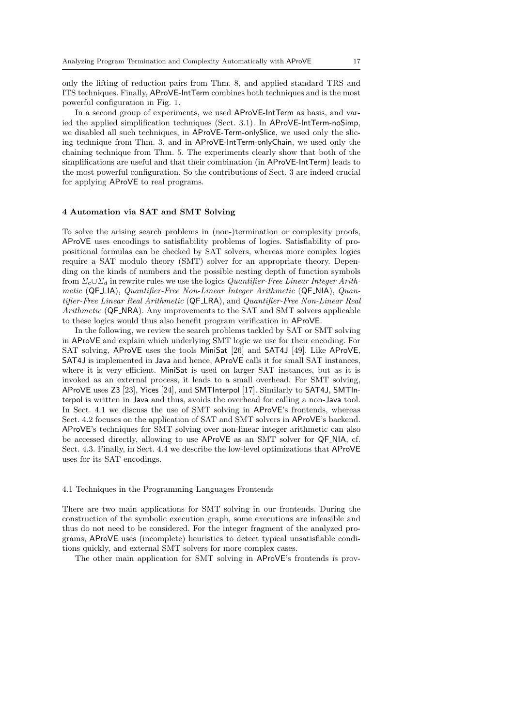only the lifting of reduction pairs from Thm. 8, and applied standard TRS and ITS techniques. Finally, AProVE-IntTerm combines both techniques and is the most powerful configuration in Fig. 1.

In a second group of experiments, we used AProVE-IntTerm as basis, and varied the applied simplification techniques (Sect. 3.1). In AProVE-IntTerm-noSimp, we disabled all such techniques, in AProVE-Term-onlySlice, we used only the slicing technique from Thm. 3, and in AProVE-IntTerm-onlyChain, we used only the chaining technique from Thm. 5. The experiments clearly show that both of the simplifications are useful and that their combination (in AProVE-IntTerm) leads to the most powerful configuration. So the contributions of Sect. 3 are indeed crucial for applying AProVE to real programs.

# 4 Automation via SAT and SMT Solving

To solve the arising search problems in (non-)termination or complexity proofs, AProVE uses encodings to satisfiability problems of logics. Satisfiability of propositional formulas can be checked by SAT solvers, whereas more complex logics require a SAT modulo theory (SMT) solver for an appropriate theory. Depending on the kinds of numbers and the possible nesting depth of function symbols from  $\Sigma_c \cup \Sigma_d$  in rewrite rules we use the logics Quantifier-Free Linear Integer Arithmetic (QF LIA), Quantifier-Free Non-Linear Integer Arithmetic (QF NIA), Quantifier-Free Linear Real Arithmetic (QF LRA), and Quantifier-Free Non-Linear Real Arithmetic (QF\_NRA). Any improvements to the SAT and SMT solvers applicable to these logics would thus also benefit program verification in AProVE.

In the following, we review the search problems tackled by SAT or SMT solving in AProVE and explain which underlying SMT logic we use for their encoding. For SAT solving, AProVE uses the tools MiniSat [26] and SAT4J [49]. Like AProVE, SAT4J is implemented in Java and hence, AProVE calls it for small SAT instances, where it is very efficient. MiniSat is used on larger SAT instances, but as it is invoked as an external process, it leads to a small overhead. For SMT solving, AProVE uses Z3 [23], Yices [24], and SMTInterpol [17]. Similarly to SAT4J, SMTInterpol is written in Java and thus, avoids the overhead for calling a non-Java tool. In Sect. 4.1 we discuss the use of SMT solving in AProVE's frontends, whereas Sect. 4.2 focuses on the application of SAT and SMT solvers in AProVE's backend. AProVE's techniques for SMT solving over non-linear integer arithmetic can also be accessed directly, allowing to use AProVE as an SMT solver for QF NIA, cf. Sect. 4.3. Finally, in Sect. 4.4 we describe the low-level optimizations that AProVE uses for its SAT encodings.

# 4.1 Techniques in the Programming Languages Frontends

There are two main applications for SMT solving in our frontends. During the construction of the symbolic execution graph, some executions are infeasible and thus do not need to be considered. For the integer fragment of the analyzed programs, AProVE uses (incomplete) heuristics to detect typical unsatisfiable conditions quickly, and external SMT solvers for more complex cases.

The other main application for SMT solving in AProVE's frontends is prov-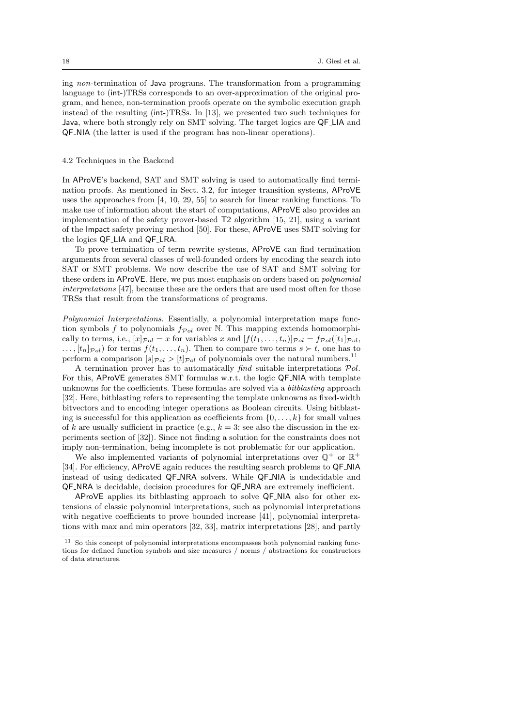ing non-termination of Java programs. The transformation from a programming language to (int-)TRSs corresponds to an over-approximation of the original program, and hence, non-termination proofs operate on the symbolic execution graph instead of the resulting (int-)TRSs. In [13], we presented two such techniques for Java, where both strongly rely on SMT solving. The target logics are QF LIA and QF NIA (the latter is used if the program has non-linear operations).

### 4.2 Techniques in the Backend

In AProVE's backend, SAT and SMT solving is used to automatically find termination proofs. As mentioned in Sect. 3.2, for integer transition systems, AProVE uses the approaches from [4, 10, 29, 55] to search for linear ranking functions. To make use of information about the start of computations, AProVE also provides an implementation of the safety prover-based T2 algorithm [15, 21], using a variant of the Impact safety proving method [50]. For these, AProVE uses SMT solving for the logics QF LIA and QF LRA.

To prove termination of term rewrite systems, AProVE can find termination arguments from several classes of well-founded orders by encoding the search into SAT or SMT problems. We now describe the use of SAT and SMT solving for these orders in AProVE. Here, we put most emphasis on orders based on polynomial interpretations [47], because these are the orders that are used most often for those TRSs that result from the transformations of programs.

Polynomial Interpretations. Essentially, a polynomial interpretation maps function symbols f to polynomials  $f_{Pol}$  over N. This mapping extends homomorphically to terms, i.e.,  $[x]_{\mathcal{P}ol} = x$  for variables x and  $[f(t_1, \ldots, t_n)]_{\mathcal{P}ol} = f_{\mathcal{P}ol}([t_1]_{\mathcal{P}ol}$ ,  $\ldots, [t_n]_{Pol}$  for terms  $f(t_1, \ldots, t_n)$ . Then to compare two terms  $s \succ t$ , one has to perform a comparison  $[s]_{\mathcal{P}ol} > [t]_{\mathcal{P}ol}$  of polynomials over the natural numbers.<sup>11</sup>

A termination prover has to automatically  $find$  suitable interpretations  $Pol.$ For this, AProVE generates SMT formulas w.r.t. the logic QF NIA with template unknowns for the coefficients. These formulas are solved via a bitblasting approach [32]. Here, bitblasting refers to representing the template unknowns as fixed-width bitvectors and to encoding integer operations as Boolean circuits. Using bitblasting is successful for this application as coefficients from  $\{0, \ldots, k\}$  for small values of k are usually sufficient in practice (e.g.,  $k = 3$ ; see also the discussion in the experiments section of [32]). Since not finding a solution for the constraints does not imply non-termination, being incomplete is not problematic for our application.

We also implemented variants of polynomial interpretations over  $\mathbb{Q}^+$  or  $\mathbb{R}^+$ [34]. For efficiency, AProVE again reduces the resulting search problems to QF NIA instead of using dedicated QF NRA solvers. While QF NIA is undecidable and QF NRA is decidable, decision procedures for QF NRA are extremely inefficient.

AProVE applies its bitblasting approach to solve QF NIA also for other extensions of classic polynomial interpretations, such as polynomial interpretations with negative coefficients to prove bounded increase [41], polynomial interpretations with max and min operators [32, 33], matrix interpretations [28], and partly

 $11$  So this concept of polynomial interpretations encompasses both polynomial ranking functions for defined function symbols and size measures / norms / abstractions for constructors of data structures.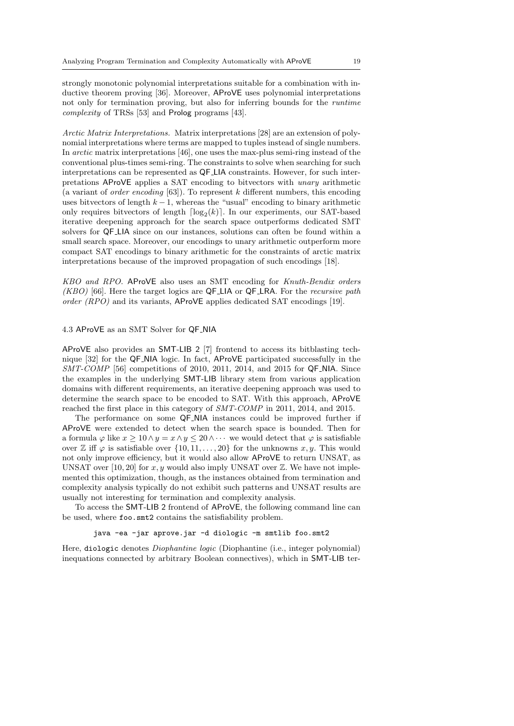strongly monotonic polynomial interpretations suitable for a combination with inductive theorem proving [36]. Moreover, AProVE uses polynomial interpretations not only for termination proving, but also for inferring bounds for the runtime complexity of TRSs [53] and Prolog programs [43].

Arctic Matrix Interpretations. Matrix interpretations [28] are an extension of polynomial interpretations where terms are mapped to tuples instead of single numbers. In arctic matrix interpretations [46], one uses the max-plus semi-ring instead of the conventional plus-times semi-ring. The constraints to solve when searching for such interpretations can be represented as QF LIA constraints. However, for such interpretations AProVE applies a SAT encoding to bitvectors with unary arithmetic (a variant of *order encoding* [63]). To represent  $k$  different numbers, this encoding uses bitvectors of length  $k - 1$ , whereas the "usual" encoding to binary arithmetic only requires bitvectors of length  $\lceil \log_2(k) \rceil$ . In our experiments, our SAT-based iterative deepening approach for the search space outperforms dedicated SMT solvers for QF LIA since on our instances, solutions can often be found within a small search space. Moreover, our encodings to unary arithmetic outperform more compact SAT encodings to binary arithmetic for the constraints of arctic matrix interpretations because of the improved propagation of such encodings [18].

KBO and RPO. AProVE also uses an SMT encoding for Knuth-Bendix orders  $(KBO)$  [66]. Here the target logics are QF\_LIA or QF\_LRA. For the *recursive path* order (RPO) and its variants, AProVE applies dedicated SAT encodings [19].

# 4.3 AProVE as an SMT Solver for QF NIA

AProVE also provides an SMT-LIB 2 [7] frontend to access its bitblasting technique [32] for the QF NIA logic. In fact, AProVE participated successfully in the SMT-COMP [56] competitions of 2010, 2011, 2014, and 2015 for QF NIA. Since the examples in the underlying SMT-LIB library stem from various application domains with different requirements, an iterative deepening approach was used to determine the search space to be encoded to SAT. With this approach, AProVE reached the first place in this category of SMT-COMP in 2011, 2014, and 2015.

The performance on some QF NIA instances could be improved further if AProVE were extended to detect when the search space is bounded. Then for a formula  $\varphi$  like  $x \geq 10 \wedge y = x \wedge y \leq 20 \wedge \cdots$  we would detect that  $\varphi$  is satisfiable over Z iff  $\varphi$  is satisfiable over  $\{10, 11, \ldots, 20\}$  for the unknowns x, y. This would not only improve efficiency, but it would also allow AProVE to return UNSAT, as UNSAT over [10, 20] for x, y would also imply UNSAT over  $\mathbb{Z}$ . We have not implemented this optimization, though, as the instances obtained from termination and complexity analysis typically do not exhibit such patterns and UNSAT results are usually not interesting for termination and complexity analysis.

To access the SMT-LIB 2 frontend of AProVE, the following command line can be used, where foo.smt2 contains the satisfiability problem.

java -ea -jar aprove.jar -d diologic -m smtlib foo.smt2

Here, diologic denotes Diophantine logic (Diophantine (i.e., integer polynomial) inequations connected by arbitrary Boolean connectives), which in SMT-LIB ter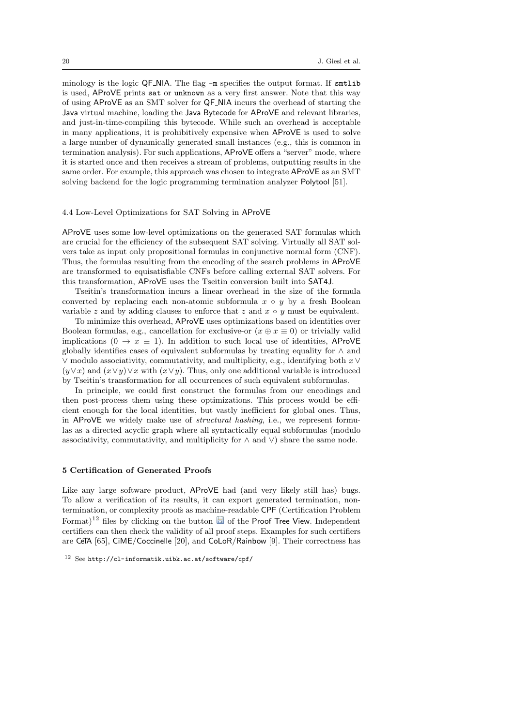minology is the logic QF\_NIA. The flag  $-m$  specifies the output format. If smtlib is used, AProVE prints sat or unknown as a very first answer. Note that this way of using AProVE as an SMT solver for QF NIA incurs the overhead of starting the Java virtual machine, loading the Java Bytecode for AProVE and relevant libraries, and just-in-time-compiling this bytecode. While such an overhead is acceptable in many applications, it is prohibitively expensive when AProVE is used to solve a large number of dynamically generated small instances (e.g., this is common in termination analysis). For such applications, AProVE offers a "server" mode, where it is started once and then receives a stream of problems, outputting results in the same order. For example, this approach was chosen to integrate AProVE as an SMT solving backend for the logic programming termination analyzer Polytool [51].

### 4.4 Low-Level Optimizations for SAT Solving in AProVE

AProVE uses some low-level optimizations on the generated SAT formulas which are crucial for the efficiency of the subsequent SAT solving. Virtually all SAT solvers take as input only propositional formulas in conjunctive normal form (CNF). Thus, the formulas resulting from the encoding of the search problems in AProVE are transformed to equisatisfiable CNFs before calling external SAT solvers. For this transformation, AProVE uses the Tseitin conversion built into SAT4J.

Tseitin's transformation incurs a linear overhead in the size of the formula converted by replacing each non-atomic subformula  $x \circ y$  by a fresh Boolean variable z and by adding clauses to enforce that z and  $x \circ y$  must be equivalent.

To minimize this overhead, AProVE uses optimizations based on identities over Boolean formulas, e.g., cancellation for exclusive-or  $(x \oplus x \equiv 0)$  or trivially valid implications  $(0 \rightarrow x \equiv 1)$ . In addition to such local use of identities, AProVE globally identifies cases of equivalent subformulas by treating equality for ∧ and  $\lor$  modulo associativity, commutativity, and multiplicity, e.g., identifying both  $x \lor$  $(y\vee x)$  and  $(x\vee y)\vee x$  with  $(x\vee y)$ . Thus, only one additional variable is introduced by Tseitin's transformation for all occurrences of such equivalent subformulas.

In principle, we could first construct the formulas from our encodings and then post-process them using these optimizations. This process would be efficient enough for the local identities, but vastly inefficient for global ones. Thus, in AProVE we widely make use of structural hashing, i.e., we represent formulas as a directed acyclic graph where all syntactically equal subformulas (modulo associativity, commutativity, and multiplicity for  $\land$  and  $\lor$ ) share the same node.

# 5 Certification of Generated Proofs

Like any large software product, AProVE had (and very likely still has) bugs. To allow a verification of its results, it can export generated termination, nontermination, or complexity proofs as machine-readable CPF (Certification Problem Format)<sup>12</sup> files by clicking on the button  $\Box$  of the Proof Tree View. Independent certifiers can then check the validity of all proof steps. Examples for such certifiers are CeTA [65], CiME/Coccinelle [20], and CoLoR/Rainbow [9]. Their correctness has

<sup>12</sup> See http://cl-informatik.uibk.ac.at/software/cpf/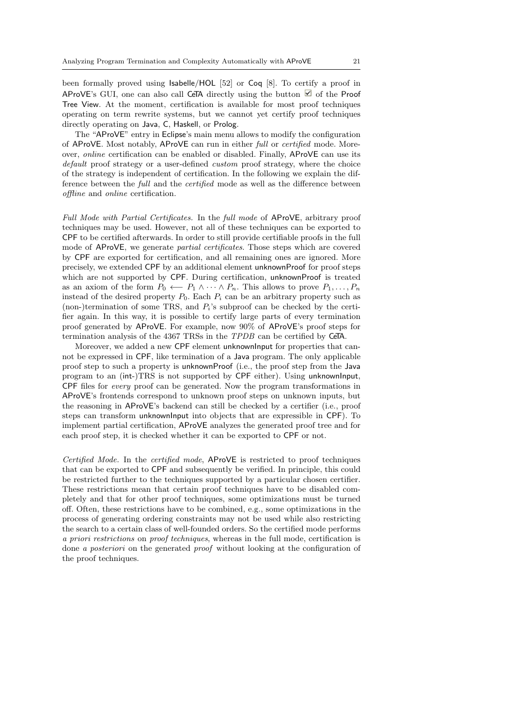been formally proved using Isabelle/HOL [52] or Coq [8]. To certify a proof in AProVE's GUI, one can also call CeTA directly using the button  $\boxtimes$  of the Proof Tree View. At the moment, certification is available for most proof techniques operating on term rewrite systems, but we cannot yet certify proof techniques directly operating on Java, C, Haskell, or Prolog.

The "AProVE" entry in Eclipse's main menu allows to modify the configuration of AProVE. Most notably, AProVE can run in either full or certified mode. Moreover, online certification can be enabled or disabled. Finally, AProVE can use its default proof strategy or a user-defined *custom* proof strategy, where the choice of the strategy is independent of certification. In the following we explain the difference between the full and the certified mode as well as the difference between offline and online certification.

Full Mode with Partial Certificates. In the full mode of AProVE, arbitrary proof techniques may be used. However, not all of these techniques can be exported to CPF to be certified afterwards. In order to still provide certifiable proofs in the full mode of AProVE, we generate partial certificates. Those steps which are covered by CPF are exported for certification, and all remaining ones are ignored. More precisely, we extended CPF by an additional element unknownProof for proof steps which are not supported by CPF. During certification, unknownProof is treated as an axiom of the form  $P_0 \leftarrow P_1 \wedge \cdots \wedge P_n$ . This allows to prove  $P_1, \ldots, P_n$ instead of the desired property  $P_0$ . Each  $P_i$  can be an arbitrary property such as (non-)termination of some TRS, and  $P_i$ 's subproof can be checked by the certifier again. In this way, it is possible to certify large parts of every termination proof generated by AProVE. For example, now 90% of AProVE's proof steps for termination analysis of the 4367 TRSs in the TPDB can be certified by CeTA.

Moreover, we added a new CPF element unknownInput for properties that cannot be expressed in CPF, like termination of a Java program. The only applicable proof step to such a property is unknownProof (i.e., the proof step from the Java program to an (int-)TRS is not supported by CPF either). Using unknownInput, CPF files for every proof can be generated. Now the program transformations in AProVE's frontends correspond to unknown proof steps on unknown inputs, but the reasoning in AProVE's backend can still be checked by a certifier (i.e., proof steps can transform unknownInput into objects that are expressible in CPF). To implement partial certification, AProVE analyzes the generated proof tree and for each proof step, it is checked whether it can be exported to CPF or not.

Certified Mode. In the certified mode, AProVE is restricted to proof techniques that can be exported to CPF and subsequently be verified. In principle, this could be restricted further to the techniques supported by a particular chosen certifier. These restrictions mean that certain proof techniques have to be disabled completely and that for other proof techniques, some optimizations must be turned off. Often, these restrictions have to be combined, e.g., some optimizations in the process of generating ordering constraints may not be used while also restricting the search to a certain class of well-founded orders. So the certified mode performs a priori restrictions on proof techniques, whereas in the full mode, certification is done a posteriori on the generated proof without looking at the configuration of the proof techniques.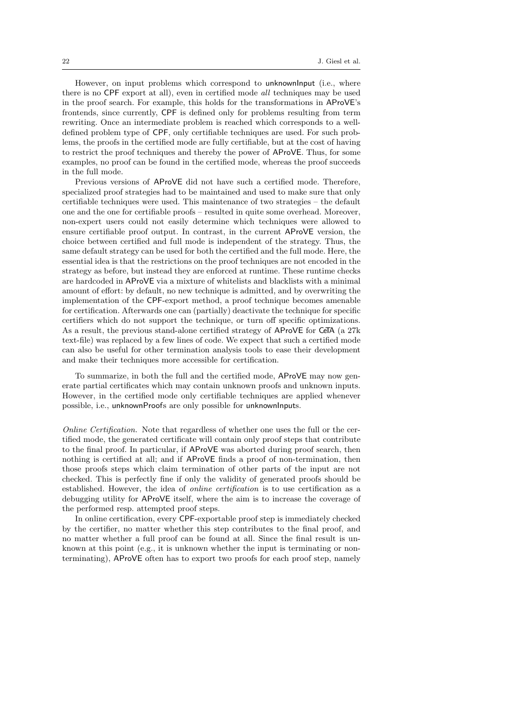However, on input problems which correspond to unknownInput (i.e., where there is no CPF export at all), even in certified mode all techniques may be used in the proof search. For example, this holds for the transformations in AProVE's frontends, since currently, CPF is defined only for problems resulting from term rewriting. Once an intermediate problem is reached which corresponds to a welldefined problem type of CPF, only certifiable techniques are used. For such problems, the proofs in the certified mode are fully certifiable, but at the cost of having to restrict the proof techniques and thereby the power of AProVE. Thus, for some examples, no proof can be found in the certified mode, whereas the proof succeeds in the full mode.

Previous versions of AProVE did not have such a certified mode. Therefore, specialized proof strategies had to be maintained and used to make sure that only certifiable techniques were used. This maintenance of two strategies – the default one and the one for certifiable proofs – resulted in quite some overhead. Moreover, non-expert users could not easily determine which techniques were allowed to ensure certifiable proof output. In contrast, in the current AProVE version, the choice between certified and full mode is independent of the strategy. Thus, the same default strategy can be used for both the certified and the full mode. Here, the essential idea is that the restrictions on the proof techniques are not encoded in the strategy as before, but instead they are enforced at runtime. These runtime checks are hardcoded in AProVE via a mixture of whitelists and blacklists with a minimal amount of effort: by default, no new technique is admitted, and by overwriting the implementation of the CPF-export method, a proof technique becomes amenable for certification. Afterwards one can (partially) deactivate the technique for specific certifiers which do not support the technique, or turn off specific optimizations. As a result, the previous stand-alone certified strategy of AProVE for CeTA (a 27k text-file) was replaced by a few lines of code. We expect that such a certified mode can also be useful for other termination analysis tools to ease their development and make their techniques more accessible for certification.

To summarize, in both the full and the certified mode, AProVE may now generate partial certificates which may contain unknown proofs and unknown inputs. However, in the certified mode only certifiable techniques are applied whenever possible, i.e., unknownProofs are only possible for unknownInputs.

Online Certification. Note that regardless of whether one uses the full or the certified mode, the generated certificate will contain only proof steps that contribute to the final proof. In particular, if AProVE was aborted during proof search, then nothing is certified at all; and if AProVE finds a proof of non-termination, then those proofs steps which claim termination of other parts of the input are not checked. This is perfectly fine if only the validity of generated proofs should be established. However, the idea of online certification is to use certification as a debugging utility for AProVE itself, where the aim is to increase the coverage of the performed resp. attempted proof steps.

In online certification, every CPF-exportable proof step is immediately checked by the certifier, no matter whether this step contributes to the final proof, and no matter whether a full proof can be found at all. Since the final result is unknown at this point (e.g., it is unknown whether the input is terminating or nonterminating), AProVE often has to export two proofs for each proof step, namely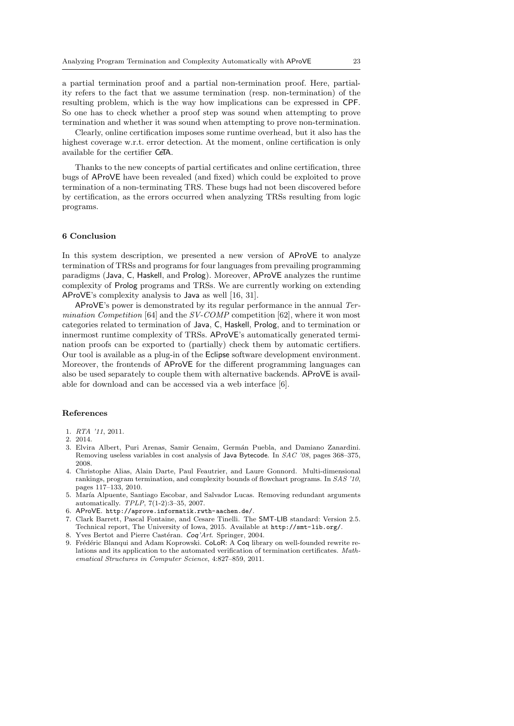a partial termination proof and a partial non-termination proof. Here, partiality refers to the fact that we assume termination (resp. non-termination) of the resulting problem, which is the way how implications can be expressed in CPF. So one has to check whether a proof step was sound when attempting to prove termination and whether it was sound when attempting to prove non-termination.

Clearly, online certification imposes some runtime overhead, but it also has the highest coverage w.r.t. error detection. At the moment, online certification is only available for the certifier CeTA.

Thanks to the new concepts of partial certificates and online certification, three bugs of AProVE have been revealed (and fixed) which could be exploited to prove termination of a non-terminating TRS. These bugs had not been discovered before by certification, as the errors occurred when analyzing TRSs resulting from logic programs.

### 6 Conclusion

In this system description, we presented a new version of AProVE to analyze termination of TRSs and programs for four languages from prevailing programming paradigms (Java, C, Haskell, and Prolog). Moreover, AProVE analyzes the runtime complexity of Prolog programs and TRSs. We are currently working on extending AProVE's complexity analysis to Java as well [16, 31].

AProVE's power is demonstrated by its regular performance in the annual Termination Competition [64] and the SV-COMP competition [62], where it won most categories related to termination of Java, C, Haskell, Prolog, and to termination or innermost runtime complexity of TRSs. AProVE's automatically generated termination proofs can be exported to (partially) check them by automatic certifiers. Our tool is available as a plug-in of the Eclipse software development environment. Moreover, the frontends of AProVE for the different programming languages can also be used separately to couple them with alternative backends. AProVE is available for download and can be accessed via a web interface [6].

# References

- 1. RTA '11, 2011.
- 2. 2014.
- 3. Elvira Albert, Puri Arenas, Samir Genaim, Germ´an Puebla, and Damiano Zanardini. Removing useless variables in cost analysis of Java Bytecode. In SAC '08, pages 368–375, 2008.
- 4. Christophe Alias, Alain Darte, Paul Feautrier, and Laure Gonnord. Multi-dimensional rankings, program termination, and complexity bounds of flowchart programs. In SAS '10, pages 117–133, 2010.
- 5. María Alpuente, Santiago Escobar, and Salvador Lucas. Removing redundant arguments automatically. TPLP, 7(1-2):3–35, 2007.
- 6. AProVE. http://aprove.informatik.rwth-aachen.de/.
- 7. Clark Barrett, Pascal Fontaine, and Cesare Tinelli. The SMT-LIB standard: Version 2.5. Technical report, The University of Iowa, 2015. Available at http://smt-lib.org/.
- 8. Yves Bertot and Pierre Castéran. Coq'Art. Springer, 2004.
- 9. Frédéric Blanqui and Adam Koprowski. CoLoR: A Coq library on well-founded rewrite relations and its application to the automated verification of termination certificates. Mathematical Structures in Computer Science, 4:827–859, 2011.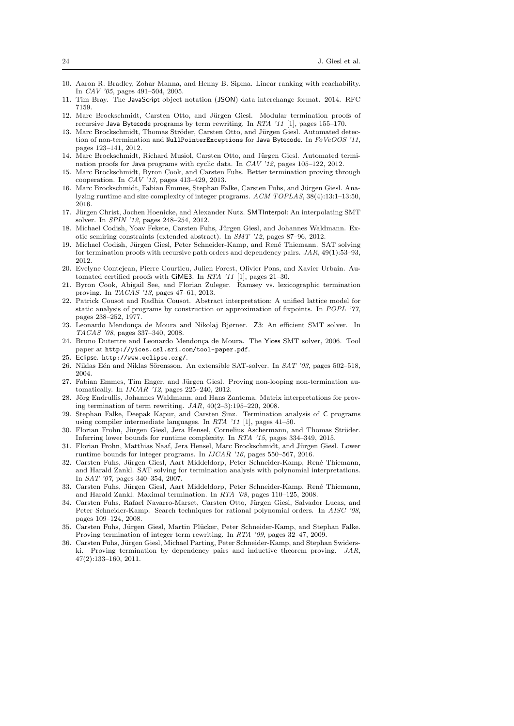- 10. Aaron R. Bradley, Zohar Manna, and Henny B. Sipma. Linear ranking with reachability. In CAV '05, pages 491–504, 2005.
- 11. Tim Bray. The JavaScript object notation (JSON) data interchange format. 2014. RFC 7159.
- 12. Marc Brockschmidt, Carsten Otto, and Jürgen Giesl. Modular termination proofs of recursive Java Bytecode programs by term rewriting. In RTA '11 [1], pages 155–170.
- 13. Marc Brockschmidt, Thomas Ströder, Carsten Otto, and Jürgen Giesl. Automated detection of non-termination and NullPointerExceptions for Java Bytecode. In FoVeOOS '11, pages 123–141, 2012.
- 14. Marc Brockschmidt, Richard Musiol, Carsten Otto, and Jürgen Giesl. Automated termination proofs for Java programs with cyclic data. In CAV '12, pages 105–122, 2012.
- 15. Marc Brockschmidt, Byron Cook, and Carsten Fuhs. Better termination proving through cooperation. In CAV '13, pages 413–429, 2013.
- 16. Marc Brockschmidt, Fabian Emmes, Stephan Falke, Carsten Fuhs, and Jürgen Giesl. Analyzing runtime and size complexity of integer programs. ACM TOPLAS, 38(4):13:1–13:50, 2016.
- 17. Jürgen Christ, Jochen Hoenicke, and Alexander Nutz. SMTInterpol: An interpolating SMT solver. In SPIN '12, pages 248–254, 2012.
- 18. Michael Codish, Yoav Fekete, Carsten Fuhs, Jürgen Giesl, and Johannes Waldmann. Exotic semiring constraints (extended abstract). In SMT '12, pages 87–96, 2012.
- 19. Michael Codish, Jürgen Giesl, Peter Schneider-Kamp, and René Thiemann. SAT solving for termination proofs with recursive path orders and dependency pairs.  $JAR$ ,  $49(1):53-93$ , 2012.
- 20. Evelyne Contejean, Pierre Courtieu, Julien Forest, Olivier Pons, and Xavier Urbain. Automated certified proofs with CiME3. In RTA '11 [1], pages 21–30.
- 21. Byron Cook, Abigail See, and Florian Zuleger. Ramsey vs. lexicographic termination proving. In TACAS '13, pages 47–61, 2013.
- 22. Patrick Cousot and Radhia Cousot. Abstract interpretation: A unified lattice model for static analysis of programs by construction or approximation of fixpoints. In POPL '77, pages 238–252, 1977.
- 23. Leonardo Mendonça de Moura and Nikolaj Bjørner. Z3: An efficient SMT solver. In TACAS '08, pages 337–340, 2008.
- 24. Bruno Dutertre and Leonardo Mendonça de Moura. The Yices SMT solver, 2006. Tool paper at http://yices.csl.sri.com/tool-paper.pdf.
- 25. Eclipse. http://www.eclipse.org/.
- 26. Niklas Eén and Niklas Sörensson. An extensible SAT-solver. In SAT '03, pages 502–518, 2004.
- 27. Fabian Emmes, Tim Enger, and Jürgen Giesl. Proving non-looping non-termination automatically. In IJCAR '12, pages 225–240, 2012.
- 28. Jörg Endrullis, Johannes Waldmann, and Hans Zantema. Matrix interpretations for proving termination of term rewriting.  $JAR$ ,  $40(2-3):195-220$ , 2008.
- 29. Stephan Falke, Deepak Kapur, and Carsten Sinz. Termination analysis of C programs using compiler intermediate languages. In  $RTA$  '11 [1], pages 41–50.
- 30. Florian Frohn, Jürgen Giesl, Jera Hensel, Cornelius Aschermann, and Thomas Ströder. Inferring lower bounds for runtime complexity. In RTA '15, pages 334–349, 2015.
- 31. Florian Frohn, Matthias Naaf, Jera Hensel, Marc Brockschmidt, and Jürgen Giesl. Lower runtime bounds for integer programs. In IJCAR '16, pages 550–567, 2016.
- 32. Carsten Fuhs, Jürgen Giesl, Aart Middeldorp, Peter Schneider-Kamp, René Thiemann, and Harald Zankl. SAT solving for termination analysis with polynomial interpretations. In SAT '07, pages 340–354, 2007.
- 33. Carsten Fuhs, Jürgen Giesl, Aart Middeldorp, Peter Schneider-Kamp, René Thiemann, and Harald Zankl. Maximal termination. In RTA '08, pages 110–125, 2008.
- 34. Carsten Fuhs, Rafael Navarro-Marset, Carsten Otto, Jürgen Giesl, Salvador Lucas, and Peter Schneider-Kamp. Search techniques for rational polynomial orders. In AISC '08, pages 109–124, 2008.
- 35. Carsten Fuhs, Jürgen Giesl, Martin Plücker, Peter Schneider-Kamp, and Stephan Falke. Proving termination of integer term rewriting. In RTA '09, pages 32–47, 2009.
- 36. Carsten Fuhs, Jürgen Giesl, Michael Parting, Peter Schneider-Kamp, and Stephan Swiderski. Proving termination by dependency pairs and inductive theorem proving. JAR, 47(2):133–160, 2011.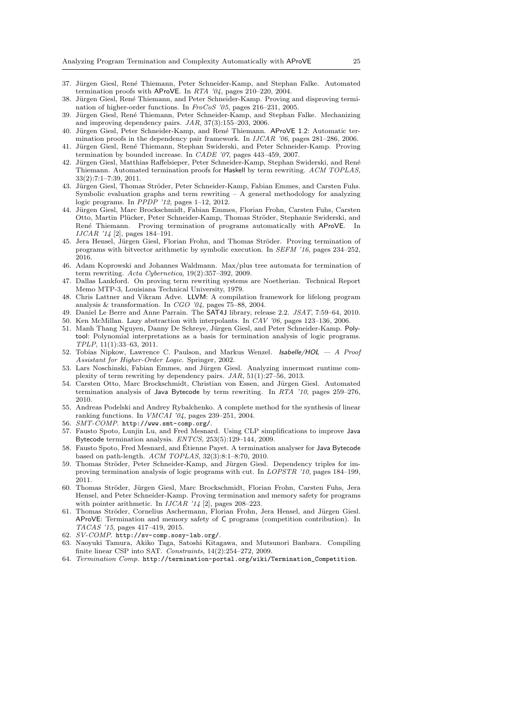- 37. Jürgen Giesl, René Thiemann, Peter Schneider-Kamp, and Stephan Falke. Automated termination proofs with AProVE. In RTA  $\mathcal{U}_4$ , pages 210–220, 2004.
- 38. Jürgen Giesl, René Thiemann, and Peter Schneider-Kamp. Proving and disproving termination of higher-order functions. In FroCoS '05, pages 216–231, 2005.
- 39. Jürgen Giesl, René Thiemann, Peter Schneider-Kamp, and Stephan Falke. Mechanizing and improving dependency pairs. JAR, 37(3):155–203, 2006.
- 40. Jürgen Giesl, Peter Schneider-Kamp, and René Thiemann. AProVE 1.2: Automatic termination proofs in the dependency pair framework. In IJCAR '06, pages 281–286, 2006.
- 41. Jürgen Giesl, René Thiemann, Stephan Swiderski, and Peter Schneider-Kamp. Proving termination by bounded increase. In CADE '07, pages 443–459, 2007.
- 42. Jürgen Giesl, Matthias Raffelsieper, Peter Schneider-Kamp, Stephan Swiderski, and René Thiemann. Automated termination proofs for Haskell by term rewriting. ACM TOPLAS, 33(2):7:1–7:39, 2011.
- 43. Jürgen Giesl, Thomas Ströder, Peter Schneider-Kamp, Fabian Emmes, and Carsten Fuhs. Symbolic evaluation graphs and term rewriting – A general methodology for analyzing logic programs. In  $PPDP$  '12, pages 1–12, 2012.
- 44. Jürgen Giesl, Marc Brockschmidt, Fabian Emmes, Florian Frohn, Carsten Fuhs, Carsten Otto, Martin Plücker, Peter Schneider-Kamp, Thomas Ströder, Stephanie Swiderski, and Ren´e Thiemann. Proving termination of programs automatically with AProVE. In IJCAR '14 [2], pages 184–191.
- 45. Jera Hensel, Jürgen Giesl, Florian Frohn, and Thomas Ströder. Proving termination of programs with bitvector arithmetic by symbolic execution. In SEFM '16, pages 234–252, 2016.
- 46. Adam Koprowski and Johannes Waldmann. Max/plus tree automata for termination of term rewriting. Acta Cybernetica, 19(2):357–392, 2009.
- 47. Dallas Lankford. On proving term rewriting systems are Noetherian. Technical Report Memo MTP-3, Louisiana Technical University, 1979.
- 48. Chris Lattner and Vikram Adve. LLVM: A compilation framework for lifelong program analysis & transformation. In CGO '04, pages 75–88, 2004.
- 49. Daniel Le Berre and Anne Parrain. The SAT4J library, release 2.2. JSAT, 7:59–64, 2010.
- 50. Ken McMillan. Lazy abstraction with interpolants. In CAV '06, pages 123–136, 2006.
- 51. Manh Thang Nguyen, Danny De Schreye, Jürgen Giesl, and Peter Schneider-Kamp. Polytool: Polynomial interpretations as a basis for termination analysis of logic programs. TPLP, 11(1):33–63, 2011.
- 52. Tobias Nipkow, Lawrence C. Paulson, and Markus Wenzel. **Isabelle/HOL** A Proof Assistant for Higher-Order Logic. Springer, 2002.
- 53. Lars Noschinski, Fabian Emmes, and Jürgen Giesl. Analyzing innermost runtime complexity of term rewriting by dependency pairs. JAR, 51(1):27–56, 2013.
- 54. Carsten Otto, Marc Brockschmidt, Christian von Essen, and Jürgen Giesl. Automated termination analysis of Java Bytecode by term rewriting. In RTA '10, pages 259–276, 2010.
- 55. Andreas Podelski and Andrey Rybalchenko. A complete method for the synthesis of linear ranking functions. In *VMCAI* ' $04$ , pages 239–251, 2004.
- 56. SMT-COMP. http://www.smt-comp.org/.
- 57. Fausto Spoto, Lunjin Lu, and Fred Mesnard. Using CLP simplifications to improve Java Bytecode termination analysis. ENTCS, 253(5):129–144, 2009.
- 58. Fausto Spoto, Fred Mesnard, and Étienne Payet. A termination analyser for Java Bytecode based on path-length. ACM TOPLAS, 32(3):8:1–8:70, 2010.
- 59. Thomas Ströder, Peter Schneider-Kamp, and Jürgen Giesl. Dependency triples for improving termination analysis of logic programs with cut. In LOPSTR '10, pages 184–199, 2011.
- 60. Thomas Ströder, Jürgen Giesl, Marc Brockschmidt, Florian Frohn, Carsten Fuhs, Jera Hensel, and Peter Schneider-Kamp. Proving termination and memory safety for programs with pointer arithmetic. In  $IJCAR$  '14 [2], pages 208-223.
- 61. Thomas Ströder, Cornelius Aschermann, Florian Frohn, Jera Hensel, and Jürgen Giesl. AProVE: Termination and memory safety of C programs (competition contribution). In TACAS '15, pages 417–419, 2015.
- 62. SV-COMP. http://sv-comp.sosy-lab.org/.
- 63. Naoyuki Tamura, Akiko Taga, Satoshi Kitagawa, and Mutsunori Banbara. Compiling finite linear CSP into SAT. Constraints, 14(2):254–272, 2009.
- 64. Termination Comp. http://termination-portal.org/wiki/Termination\_Competition.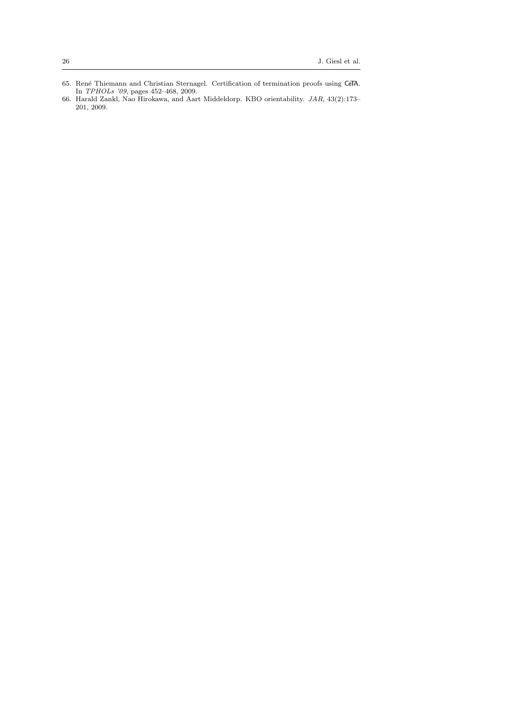- 65. René Thiemann and Christian Sternagel. Certification of termination proofs using CeTA. In TPHOLs '09, pages 452–468, 2009.
- 66. Harald Zankl, Nao Hirokawa, and Aart Middeldorp. KBO orientability. JAR, 43(2):173– 201, 2009.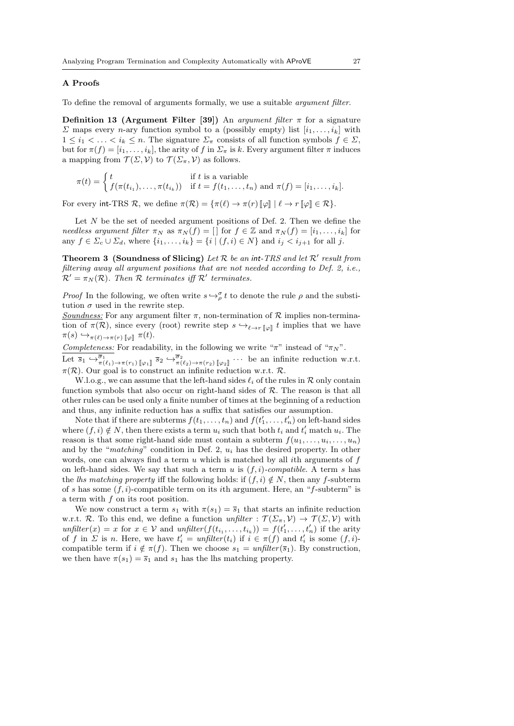### A Proofs

To define the removal of arguments formally, we use a suitable argument filter.

Definition 13 (Argument Filter [39]) An argument filter  $\pi$  for a signature  $\Sigma$  maps every *n*-ary function symbol to a (possibly empty) list  $[i_1, \ldots, i_k]$  with  $1 \leq i_1 < \ldots < i_k \leq n$ . The signature  $\Sigma_{\pi}$  consists of all function symbols  $f \in \Sigma$ , but for  $\pi(f) = [i_1, \ldots, i_k]$ , the arity of f in  $\Sigma_{\pi}$  is k. Every argument filter  $\pi$  induces a mapping from  $\mathcal{T}(\Sigma, \mathcal{V})$  to  $\mathcal{T}(\Sigma_{\pi}, \mathcal{V})$  as follows.

$$
\pi(t) = \begin{cases} t & \text{if } t \text{ is a variable} \\ f(\pi(t_{i_1}), \dots, \pi(t_{i_k})) & \text{if } t = f(t_1, \dots, t_n) \text{ and } \pi(f) = [i_1, \dots, i_k]. \end{cases}
$$

For every int-TRS R, we define  $\pi(\mathcal{R}) = {\pi(\ell) \rightarrow \pi(r) \|\varphi\| \mid \ell \rightarrow r \|\varphi\| \in \mathcal{R}}.$ 

Let  $N$  be the set of needed argument positions of Def. 2. Then we define the needless argument filter  $\pi_N$  as  $\pi_N(f) = [\ ]$  for  $f \in \mathbb{Z}$  and  $\pi_N(f) = [i_1, \ldots, i_k]$  for any  $f \in \Sigma_c \cup \Sigma_d$ , where  $\{i_1, \ldots, i_k\} = \{i \mid (f, i) \in N\}$  and  $i_j < i_{j+1}$  for all j.

**Theorem 3 (Soundness of Slicing)** Let  $\mathcal{R}$  be an int-TRS and let  $\mathcal{R}'$  result from filtering away all argument positions that are not needed according to Def. 2, i.e.,  $\mathcal{R}' = \pi_N(\mathcal{R})$ . Then R terminates iff  $\mathcal{R}'$  terminates.

*Proof* In the following, we often write  $s \hookrightarrow_{\rho}^{\sigma} t$  to denote the rule  $\rho$  and the substitution  $\sigma$  used in the rewrite step.

Soundness: For any argument filter  $\pi$ , non-termination of  $\mathcal R$  implies non-termination of  $\pi(\mathcal{R})$ , since every (root) rewrite step  $s \hookrightarrow_{\ell \to r} \llbracket \varphi \rrbracket t$  implies that we have  $\pi(s) \hookrightarrow_{\pi(\ell) \to \pi(r)} \pi(t).$ 

Completeness: For readability, in the following we write " $\pi$ " instead of " $\pi_N$ ".

Let  $\overline{s}_1 \hookrightarrow_{\pi(\ell_1) \to \pi(r_1)}^{\overline{\sigma}_1} \overline{s}_2 \hookrightarrow_{\pi(\ell_2) \to \pi(r_2)}^{\overline{\sigma}_2} \overline{s}_2$  ... be an infinite reduction w.r.t.  $\pi(\mathcal{R})$ . Our goal is to construct an infinite reduction w.r.t.  $\mathcal{R}$ .

W.l.o.g., we can assume that the left-hand sides  $\ell_i$  of the rules in R only contain function symbols that also occur on right-hand sides of  $R$ . The reason is that all other rules can be used only a finite number of times at the beginning of a reduction and thus, any infinite reduction has a suffix that satisfies our assumption.

Note that if there are subterms  $f(t_1, \ldots, t_n)$  and  $f(t'_1, \ldots, t'_n)$  on left-hand sides where  $(f, i) \notin N$ , then there exists a term  $u_i$  such that both  $t_i$  and  $t'_i$  match  $u_i$ . The reason is that some right-hand side must contain a subterm  $f(u_1, \ldots, u_i, \ldots, u_n)$ and by the "matching" condition in Def. 2,  $u_i$  has the desired property. In other words, one can always find a term  $u$  which is matched by all *i*th arguments of  $f$ on left-hand sides. We say that such a term u is  $(f, i)$ -compatible. A term s has the lhs matching property iff the following holds: if  $(f, i) \notin N$ , then any f-subterm of s has some  $(f, i)$ -compatible term on its *i*th argument. Here, an "f-subterm" is a term with f on its root position.

We now construct a term  $s_1$  with  $\pi(s_1) = \overline{s}_1$  that starts an infinite reduction w.r.t. R. To this end, we define a function unfilter :  $\mathcal{T}(\Sigma_\pi,\mathcal{V}) \to \mathcal{T}(\Sigma,\mathcal{V})$  with unfilter(x) = x for  $x \in V$  and unfilter( $f(t_{i_1},...,t_{i_k}) = f(t'_1,...,t'_n)$  if the arity of f in  $\Sigma$  is n. Here, we have  $t_i' = \text{unfilter}(t_i)$  if  $i \in \pi(f)$  and  $t_i'$  is some  $(f, i)$ compatible term if  $i \notin \pi(f)$ . Then we choose  $s_1 = \text{unfilter}(\overline{s}_1)$ . By construction, we then have  $\pi(s_1) = \overline{s}_1$  and  $s_1$  has the lhs matching property.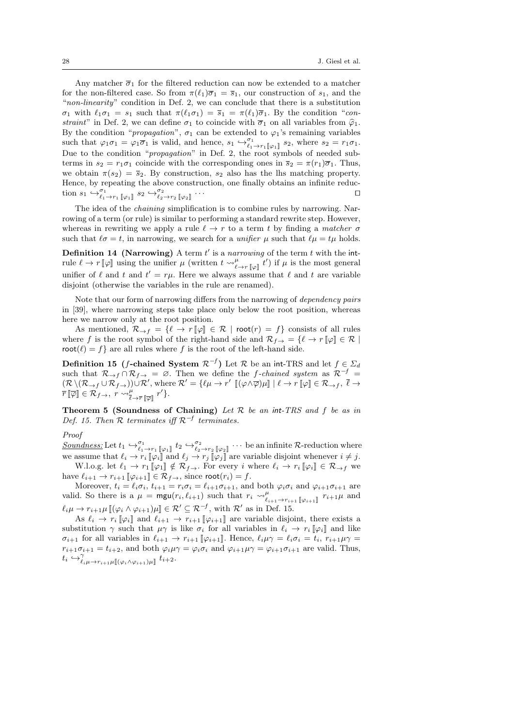Any matcher  $\overline{\sigma}_1$  for the filtered reduction can now be extended to a matcher for the non-filtered case. So from  $\pi(\ell_1)\overline{\sigma}_1 = \overline{s}_1$ , our construction of  $s_1$ , and the "non-linearity" condition in Def. 2, we can conclude that there is a substitution  $\sigma_1$  with  $\ell_1\sigma_1 = s_1$  such that  $\pi(\ell_1\sigma_1) = \bar{s}_1 = \pi(\ell_1)\bar{\sigma}_1$ . By the condition "constraint" in Def. 2, we can define  $\sigma_1$  to coincide with  $\overline{\sigma}_1$  on all variables from  $\hat{\varphi}_1$ . By the condition "*propagation*",  $\sigma_1$  can be extended to  $\varphi_1$ 's remaining variables such that  $\varphi_1 \sigma_1 = \varphi_1 \overline{\sigma}_1$  is valid, and hence,  $s_1 \hookrightarrow_{\ell_1 - r_1}^{\sigma_1} [\varphi_1]$  s<sub>2</sub>, where  $s_2 = r_1 \sigma_1$ . Due to the condition "*propagation*" in Def. 2, the root symbols of needed subterms in  $s_2 = r_1 \sigma_1$  coincide with the corresponding ones in  $\overline{s}_2 = \pi(r_1)\overline{\sigma}_1$ . Thus, we obtain  $\pi(s_2) = \overline{s}_2$ . By construction,  $s_2$  also has the lhs matching property. Hence, by repeating the above construction, one finally obtains an infinite reduction  $s_1 \hookrightarrow_{\ell_1 \to r_1}^{\sigma_1} [\![\varphi_1]\!]$   $s_2 \hookrightarrow_{\ell_2 \to r_2}^{\sigma_2} [\![\varphi_2]\!]$  $\cdots$  . In the contract of the contract of the contract of  $\Box$ 

The idea of the chaining simplification is to combine rules by narrowing. Narrowing of a term (or rule) is similar to performing a standard rewrite step. However, whereas in rewriting we apply a rule  $\ell \to r$  to a term t by finding a matcher  $\sigma$ such that  $\ell \sigma = t$ , in narrowing, we search for a unifier  $\mu$  such that  $\ell \mu = t\mu$  holds.

**Definition 14 (Narrowing)** A term  $t'$  is a narrowing of the term  $t$  with the intrule  $\ell \to r \llbracket \varphi \rrbracket$  using the unifier  $\mu$  (written  $t \leadsto_{\ell \to r}^{\mu} \llbracket \varphi \rrbracket$   $t'$ ) if  $\mu$  is the most general unifier of  $\ell$  and  $t$  and  $t' = r\mu$ . Here we always assume that  $\ell$  and  $t$  are variable disjoint (otherwise the variables in the rule are renamed).

Note that our form of narrowing differs from the narrowing of dependency pairs in [39], where narrowing steps take place only below the root position, whereas here we narrow only at the root position.

As mentioned,  $\mathcal{R}_{\to f} = \{ \ell \to r [\![ \varphi ]\!] \in \mathcal{R} \mid \text{root}(r) = f \}$  consists of all rules where f is the root symbol of the right-hand side and  $\mathcal{R}_{f \to \in \{ \ell \to r \} }$   $[\varphi] \in \mathcal{R}$  $root(\ell) = f$  are all rules where f is the root of the left-hand side.

Definition 15 (f-chained System  $\mathcal{R}^{-f}$ ) Let R be an int-TRS and let  $f \in \Sigma_d$ such that  $\mathcal{R}_{\rightarrow f} \cap \mathcal{R}_{f \rightarrow} = \emptyset$ . Then we define the f-chained system as  $\mathcal{R}^{-f}$  =  $(\mathcal{R} \setminus (\mathcal{R}_{\to f} \cup \mathcal{R}_{f \to f})) \cup \mathcal{R}'$ , where  $\mathcal{R}' = \{\ell \mu \to r' \; [\![ (\varphi \wedge \overline{\varphi}) \mu ]\!] \mid \ell \to r [\![ \varphi ]\!] \in \mathcal{R}_{\to f}, \; \overline{\ell} \to \overline{\ell}_{\overline{\ell}}$  $\overline{r}$   $\overline{[\varphi]} \in \mathcal{R}_{f \to}, \ r \leadsto^{\mu}_{\overline{\ell} \to \overline{r}}$   $\overline{[\varphi]}$   $r'$ .

**Theorem 5 (Soundness of Chaining)** Let  $\mathcal{R}$  be an int-TRS and f be as in Def. 15. Then  $\mathcal R$  terminates iff  $\mathcal R^{-f}$  terminates.

# Proof

 $\frac{Soundness}{\ell_1}$ . Let  $t_1 \hookrightarrow_{\ell_1 \to r_1}^{\sigma_1} [\![\varphi_1]\!]$   $t_2 \hookrightarrow_{\ell_2 \to r_2}^{\sigma_2} [\![\varphi_2]\!]$   $\cdots$  be an infinite R-reduction where we assume that  $\ell_i \to r_i \llbracket \varphi_i \rrbracket$  and  $\ell_j \to r_j \llbracket \varphi_j \rrbracket$  are variable disjoint whenever  $i \neq j$ .<br>We see that  $\ell_j \to \infty$  for success in where  $\ell_j \to \infty$  for  $\ell_j \to \infty$ W.l.o.g. let  $\ell_1 \to r_1 \llbracket \varphi_1 \rrbracket \notin \mathcal{R}_{f \to \cdot}$ . For every i where  $\ell_i \to r_i \llbracket \varphi_i \rrbracket \in \mathcal{R}_{\to f}$  we have  $\ell_{i+1} \to r_{i+1} [\![\varphi_{i+1}]\!] \in \mathcal{R}_{f \to \tau}$ , since root $(r_i) = f$ .

Moreover,  $t_i = \ell_i \sigma_i$ ,  $t_{i+1} = r_i \sigma_i = \ell_{i+1} \sigma_{i+1}$ , and both  $\varphi_i \sigma_i$  and  $\varphi_{i+1} \sigma_{i+1}$  are valid. So there is a  $\mu = \text{mgu}(r_i, \ell_{i+1})$  such that  $r_i \sim_{\ell_{i+1} \to r_{i+1}}^{\mu} [\varphi_{i+1}]$   $r_{i+1}\mu$  and  $\ell_i\mu \to r_{i+1}\mu \llbracket (\varphi_i \wedge \varphi_{i+1})\mu \rrbracket \in \mathcal{R}' \subseteq \mathcal{R}^{-f}$ , with  $\mathcal{R}'$  as in Def. 15.

As  $\ell_i \to r_i \llbracket \varphi_i \rrbracket$  and  $\ell_{i+1} \to r_{i+1} \llbracket \varphi_{i+1} \rrbracket$  are variable disjoint, there exists a substitution  $\gamma$  such that  $\mu\gamma$  is like  $\sigma_i$  for all variables in  $\ell_i \to r_i \llbracket \varphi_i \rrbracket$  and like  $\sigma_{i+1}$  for all variables in  $\ell_{i+1} \to r_{i+1} [\varphi_{i+1}]$ . Hence,  $\ell_i \mu \gamma = \ell_i \sigma_i = t_i$ ,  $r_{i+1} \mu \gamma =$  $r_{i+1}\sigma_{i+1} = t_{i+2}$ , and both  $\varphi_i\mu\gamma = \varphi_i\sigma_i$  and  $\varphi_{i+1}\mu\gamma = \varphi_{i+1}\sigma_{i+1}$  are valid. Thus,  $t_i \hookrightarrow_{\ell_i\mu \to r_{i+1}\mu \llbracket (\varphi_i \wedge \varphi_{i+1}) \mu \rrbracket}^{\gamma} t_{i+2}.$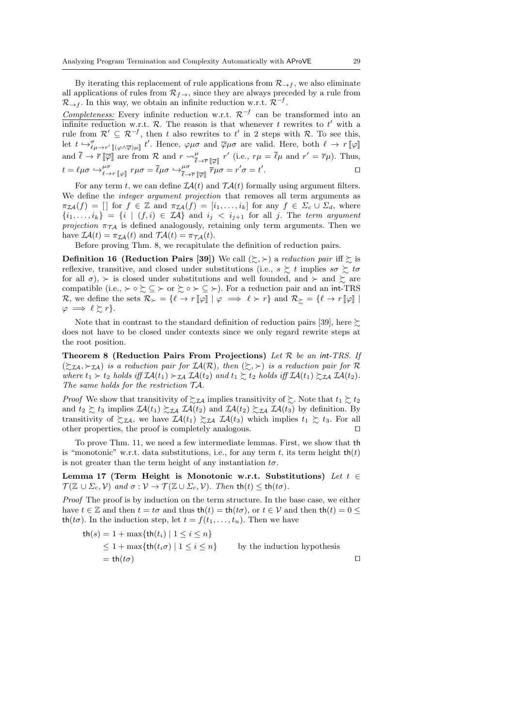By iterating this replacement of rule applications from  $\mathcal{R}_{\rightarrow f}$ , we also eliminate all applications of rules from  $\mathcal{R}_{f\rightarrow}$ , since they are always preceded by a rule from  $\mathcal{R}_{\rightarrow f}$ . In this way, we obtain an infinite reduction w.r.t.  $\mathcal{R}^{-f}$ .

Completeness: Every infinite reduction w.r.t.  $\mathcal{R}^{-f}$  can be transformed into an infinite reduction w.r.t. R. The reason is that whenever t rewrites to  $t'$  with a rule from  $\mathcal{R}' \subseteq \mathcal{R}^{-f}$ , then t also rewrites to t' in 2 steps with  $\mathcal{R}$ . To see this, let  $t \hookrightarrow_{\ell\mu \to r'\llbracket (\varphi \wedge \overline{\varphi})\mu \rrbracket}^{\sigma} t'.$  Hence,  $\varphi \mu \sigma$  and  $\overline{\varphi} \mu \sigma$  are valid. Here, both  $\ell \to r\llbracket \varphi \rrbracket$ and  $\overline{\ell} \to \overline{r}$   $\overline{[\varphi]}$  are from  $\mathcal{R}$  and  $r \to \overline{\ell}$  and  $r' = \overline{\ell}\mu$  and  $r' = \overline{r}\mu$ ). Thus,  $t = \ell \mu \sigma \hookrightarrow^{\mu \sigma}_{\ell \to r \; [\![\varphi]\!]} r \mu \sigma = \bar{\ell} \mu \sigma \hookrightarrow^{\mu \sigma}_{\bar{\ell} \to \bar{\ell}}$  $\frac{\mu\sigma}{\bar{\ell}\to\bar{r}}$   $\left[\overline{\varphi}\right]$   $\bar{r}\mu\sigma = r'\sigma = t'$ .

For any term t, we can define  $IA(t)$  and  $TA(t)$  formally using argument filters. We define the *integer argument projection* that removes all term arguments as  $\pi_{\mathcal{I}\mathcal{A}}(f) = []$  for  $f \in \mathbb{Z}$  and  $\pi_{\mathcal{I}\mathcal{A}}(f) = [i_1, \ldots, i_k]$  for any  $f \in \Sigma_c \cup \Sigma_d$ , where  ${i_1, \ldots, i_k} = {i | (f, i) \in \mathcal{I}A}$  and  $i_j < i_{j+1}$  for all j. The term argument projection  $\pi_{\mathcal{T}A}$  is defined analogously, retaining only term arguments. Then we have  $\mathcal{I}A(t) = \pi_{\mathcal{I}A}(t)$  and  $\mathcal{T}A(t) = \pi_{\mathcal{T}A}(t)$ .

Before proving Thm. 8, we recapitulate the definition of reduction pairs.

**Definition 16 (Reduction Pairs [39])** We call  $(\succsim, \succ)$  a reduction pair iff  $\succsim$  is reflexive, transitive, and closed under substitutions (i.e.,  $s \gtrsim t$  implies  $s\sigma \gtrsim t\sigma$ for all  $\sigma$ ),  $\succ$  is closed under substitutions and well founded, and  $\succ$  and  $\succ$  are compatible (i.e.,  $\succ \circ \succsim \subseteq \succ$  or  $\succsim \circ \succ \subseteq \succ$ ). For a reduction pair and an int-TRS R, we define the sets  $\mathcal{R}_{\succ} = \{\ell \to r [\![\varphi]\!] \mid \varphi \implies \ell \succ r\}$  and  $\mathcal{R}_{\succ} = \{\ell \to r [\![\varphi]\!] \mid \varphi \implies \ell \succ r\}$  $\varphi \implies \ell \succsim r$ .

Note that in contrast to the standard definition of reduction pairs [39], here  $\succsim$ does not have to be closed under contexts since we only regard rewrite steps at the root position.

Theorem 8 (Reduction Pairs From Projections) Let  $R$  be an int-TRS. If  $(\Sigma \mathcal{I}A, \Sigma \mathcal{I}A)$  is a reduction pair for  $\mathcal{I}A(\mathcal{R})$ , then  $(\Sigma, \Sigma)$  is a reduction pair for  $\mathcal{R}$ where  $t_1 > t_2$  holds iff  $IA(t_1) >_{IA} IA(t_2)$  and  $t_1 \gtrsim t_2$  holds iff  $IA(t_1) \gtrsim_{IA} IA(t_2)$ . The same holds for the restriction TA.

*Proof* We show that transitivity of  $\sum_{i=1}^{\infty} I_i$  implies transitivity of  $\sum_{i=1}^{\infty} I_i$ . Note that  $t_1 \sum_{i=1}^{\infty} t_2$ and  $t_2 \gtrsim t_3$  implies  $\mathcal{IA}(t_1) \gtrsim_{\mathcal{IA}} \mathcal{IA}(t_2)$  and  $\mathcal{IA}(t_2) \gtrsim_{\mathcal{IA}} \mathcal{IA}(t_3)$  by definition. By transitivity of  $\sum_{I} A$ , we have  $I A(t_1) \sum_{I} A I A(t_3)$  which implies  $t_1 \sum_{I} t_3$ . For all other properties, the proof is completely analogous.  $\Box$ 

To prove Thm. 11, we need a few intermediate lemmas. First, we show that th is "monotonic" w.r.t. data substitutions, i.e., for any term  $t$ , its term height  $\text{th}(t)$ is not greater than the term height of any instantiation  $t\sigma$ .

Lemma 17 (Term Height is Monotonic w.r.t. Substitutions) Let  $t \in$  $\mathcal{T}(\mathbb{Z} \cup \Sigma_c, \mathcal{V})$  and  $\sigma : \mathcal{V} \to \mathcal{T}(\mathbb{Z} \cup \Sigma_c, \mathcal{V})$ . Then th $(t) \leq \text{th}(t\sigma)$ .

Proof The proof is by induction on the term structure. In the base case, we either have  $t \in \mathbb{Z}$  and then  $t = t\sigma$  and thus  $\text{th}(t) = \text{th}(t\sigma)$ , or  $t \in \mathcal{V}$  and then  $\text{th}(t) = 0 \leq$ th( $t\sigma$ ). In the induction step, let  $t = f(t_1, \ldots, t_n)$ . Then we have

$$
th(s) = 1 + \max\{th(t_i) \mid 1 \le i \le n\}
$$
  
\n
$$
\le 1 + \max\{th(t_i\sigma) \mid 1 \le i \le n\}
$$
 by the induction hypothesis  
\n
$$
= th(t\sigma)
$$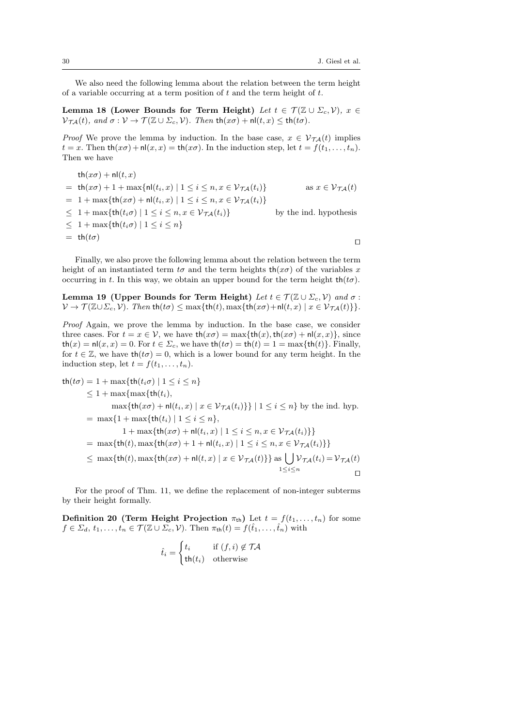We also need the following lemma about the relation between the term height of a variable occurring at a term position of  $t$  and the term height of  $t$ .

Lemma 18 (Lower Bounds for Term Height) Let  $t \in \mathcal{T}(\mathbb{Z} \cup \Sigma_c, \mathcal{V}), x \in$  $\mathcal{V}_{\mathcal{TA}}(t)$ , and  $\sigma : \mathcal{V} \to \mathcal{T}(\mathbb{Z} \cup \Sigma_c, \mathcal{V})$ . Then th $(x\sigma) + \mathsf{n}(t, x) \leq \mathsf{th}(t\sigma)$ .

*Proof* We prove the lemma by induction. In the base case,  $x \in V_{\mathcal{TA}}(t)$  implies  $t = x$ . Then  $\text{th}(x\sigma) + \text{nl}(x, x) = \text{th}(x\sigma)$ . In the induction step, let  $t = f(t_1, \ldots, t_n)$ . Then we have

$$
th(x\sigma) + nl(t, x)
$$
  
\n
$$
= th(x\sigma) + 1 + \max\{nl(t_i, x) | 1 \le i \le n, x \in \mathcal{V}_{\mathcal{TA}}(t_i)\}
$$
 as  $x \in \mathcal{V}_{\mathcal{TA}}(t)$   
\n
$$
= 1 + \max\{th(x\sigma) + nl(t_i, x) | 1 \le i \le n, x \in \mathcal{V}_{\mathcal{TA}}(t_i)\}
$$
 as  $x \in \mathcal{V}_{\mathcal{TA}}(t)$   
\n
$$
\le 1 + \max\{th(t_i\sigma) | 1 \le i \le n, x \in \mathcal{V}_{\mathcal{TA}}(t_i)\}
$$
 by the ind. hypothesis  
\n
$$
\le 1 + \max\{th(t_i\sigma) | 1 \le i \le n\}
$$
  
\n
$$
= th(t\sigma)
$$

Finally, we also prove the following lemma about the relation between the term height of an instantiated term  $t\sigma$  and the term heights  $\text{th}(x\sigma)$  of the variables x occurring in t. In this way, we obtain an upper bound for the term height  $\text{th}(t\sigma)$ .

Lemma 19 (Upper Bounds for Term Height) Let  $t \in \mathcal{T}(\mathbb{Z} \cup \Sigma_c, \mathcal{V})$  and  $\sigma$ :  $V \to \mathcal{T}(\mathbb{Z} \cup \Sigma_c, V)$ . Then th $(t\sigma) \leq \max\{th(t), \max\{th(x\sigma) + \ln(t, x) \mid x \in \mathcal{V}_{\mathcal{T}A}(t)\}\}.$ 

Proof Again, we prove the lemma by induction. In the base case, we consider three cases. For  $t = x \in V$ , we have  $\text{th}(x\sigma) = \max{\{\text{th}(x), \text{th}(x\sigma) + \text{nl}(x, x)\}}$ , since  $\text{th}(x) = \text{nl}(x, x) = 0.$  For  $t \in \Sigma_c$ , we have  $\text{th}(t\sigma) = \text{th}(t) = 1 = \max{\{\text{th}(t)\}}$ . Finally, for  $t \in \mathbb{Z}$ , we have  $\text{th}(t\sigma) = 0$ , which is a lower bound for any term height. In the induction step, let  $t = f(t_1, \ldots, t_n)$ .

$$
th(t\sigma) = 1 + \max\{th(t_i\sigma) \mid 1 \le i \le n\}
$$
  
\n
$$
\le 1 + \max\{\max\{th(t_i),
$$
  
\n
$$
\max\{th(x\sigma) + n(t_i, x) \mid x \in \mathcal{V}_{\mathcal{TA}}(t_i)\}\} \mid 1 \le i \le n\} \text{ by the ind. hyp.}
$$
  
\n
$$
= \max\{1 + \max\{th(t_i) \mid 1 \le i \le n\},
$$
  
\n
$$
1 + \max\{th(x\sigma) + n(t_i, x) \mid 1 \le i \le n, x \in \mathcal{V}_{\mathcal{TA}}(t_i)\}\}
$$
  
\n
$$
= \max\{th(t), \max\{th(x\sigma) + 1 + n(t_i, x) \mid 1 \le i \le n, x \in \mathcal{V}_{\mathcal{TA}}(t_i)\}\}
$$
  
\n
$$
\le \max\{th(t), \max\{th(x\sigma) + n(t, x) \mid x \in \mathcal{V}_{\mathcal{TA}}(t)\}\} \text{ as } \bigcup_{1 \le i \le n} \mathcal{V}_{\mathcal{TA}}(t_i) = \mathcal{V}_{\mathcal{TA}}(t)
$$

For the proof of Thm. 11, we define the replacement of non-integer subterms by their height formally.

**Definition 20 (Term Height Projection**  $\pi_{\text{th}}$ ) Let  $t = f(t_1, \ldots, t_n)$  for some  $f \in \Sigma_d, t_1, \ldots, t_n \in \mathcal{T}(\mathbb{Z} \cup \Sigma_c, \mathcal{V})$ . Then  $\pi_{\mathsf{th}}(t) = f(\hat{t}_1, \ldots, \hat{t}_n)$  with

$$
\hat{t}_i = \begin{cases} t_i & \text{if } (f,i) \notin \mathcal{TA} \\ \mathsf{th}(t_i) & \text{otherwise} \end{cases}
$$